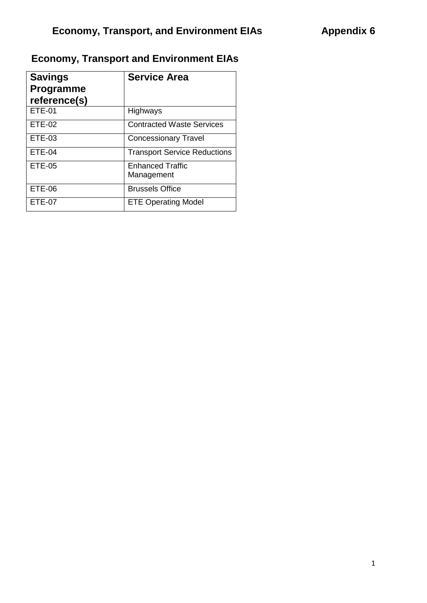# **Economy, Transport and Environment EIAs**

| <b>Savings</b><br><b>Programme</b><br>reference(s) | <b>Service Area</b>                   |
|----------------------------------------------------|---------------------------------------|
| <b>ETE-01</b>                                      | Highways                              |
| <b>ETE-02</b>                                      | <b>Contracted Waste Services</b>      |
| <b>ETE-03</b>                                      | <b>Concessionary Travel</b>           |
| <b>ETE-04</b>                                      | <b>Transport Service Reductions</b>   |
| <b>ETE-05</b>                                      | <b>Enhanced Traffic</b><br>Management |
| <b>ETE-06</b>                                      | <b>Brussels Office</b>                |
| ETE-07                                             | <b>ETE Operating Model</b>            |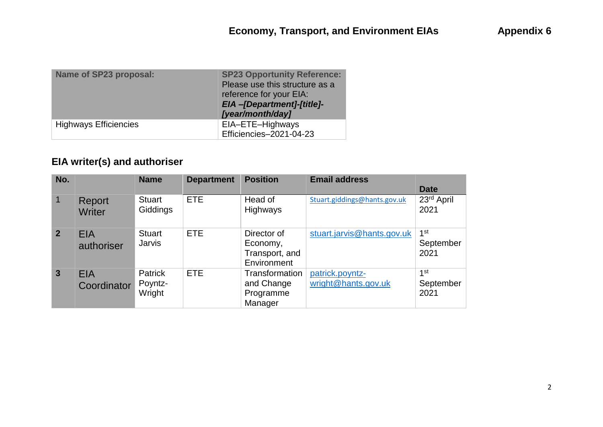| Name of SP23 proposal:       | <b>SP23 Opportunity Reference:</b><br>Please use this structure as a<br>reference for your EIA:<br>EIA-[Department]-[title]-<br>[year/month/day] |
|------------------------------|--------------------------------------------------------------------------------------------------------------------------------------------------|
| <b>Highways Efficiencies</b> | EIA-ETE-Highways<br>Efficiencies-2021-04-23                                                                                                      |

# **EIA writer(s) and authoriser**

| No.            |                  | <b>Name</b>               | <b>Department</b> | <b>Position</b>     | <b>Email address</b>         |                    |
|----------------|------------------|---------------------------|-------------------|---------------------|------------------------------|--------------------|
|                |                  |                           |                   |                     |                              | <b>Date</b>        |
|                | Report<br>Writer | <b>Stuart</b><br>Giddings | <b>ETE</b>        | Head of<br>Highways | Stuart.giddings@hants.gov.uk | 23rd April<br>2021 |
| $\overline{2}$ | <b>EIA</b>       | <b>Stuart</b>             | <b>ETE</b>        | Director of         | stuart.jarvis@hants.gov.uk   | 1 <sup>st</sup>    |
|                | authoriser       | Jarvis                    |                   | Economy,            |                              | September          |
|                |                  |                           |                   | Transport, and      |                              | 2021               |
|                |                  |                           |                   | Environment         |                              |                    |
| $\mathbf{3}$   | <b>EIA</b>       | <b>Patrick</b>            | <b>ETE</b>        | Transformation      | patrick.poyntz-              | 1 <sup>st</sup>    |
|                | Coordinator      | Poyntz-                   |                   | and Change          | wright@hants.gov.uk          | September          |
|                |                  | Wright                    |                   | Programme           |                              | 2021               |
|                |                  |                           |                   | Manager             |                              |                    |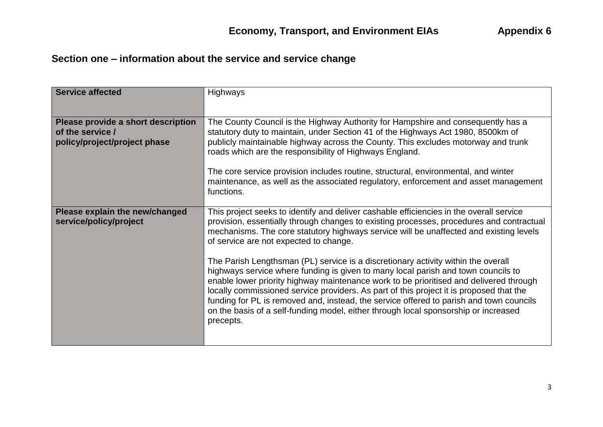# **Section one – information about the service and service change**

| <b>Service affected</b>                                                                | Highways                                                                                                                                                                                                                                                                                                                                                                                                                                                                                                                                                   |
|----------------------------------------------------------------------------------------|------------------------------------------------------------------------------------------------------------------------------------------------------------------------------------------------------------------------------------------------------------------------------------------------------------------------------------------------------------------------------------------------------------------------------------------------------------------------------------------------------------------------------------------------------------|
| Please provide a short description<br>of the service /<br>policy/project/project phase | The County Council is the Highway Authority for Hampshire and consequently has a<br>statutory duty to maintain, under Section 41 of the Highways Act 1980, 8500km of<br>publicly maintainable highway across the County. This excludes motorway and trunk<br>roads which are the responsibility of Highways England.<br>The core service provision includes routine, structural, environmental, and winter                                                                                                                                                 |
|                                                                                        | maintenance, as well as the associated regulatory, enforcement and asset management<br>functions.                                                                                                                                                                                                                                                                                                                                                                                                                                                          |
| Please explain the new/changed<br>service/policy/project                               | This project seeks to identify and deliver cashable efficiencies in the overall service<br>provision, essentially through changes to existing processes, procedures and contractual<br>mechanisms. The core statutory highways service will be unaffected and existing levels<br>of service are not expected to change.                                                                                                                                                                                                                                    |
|                                                                                        | The Parish Lengthsman (PL) service is a discretionary activity within the overall<br>highways service where funding is given to many local parish and town councils to<br>enable lower priority highway maintenance work to be prioritised and delivered through<br>locally commissioned service providers. As part of this project it is proposed that the<br>funding for PL is removed and, instead, the service offered to parish and town councils<br>on the basis of a self-funding model, either through local sponsorship or increased<br>precepts. |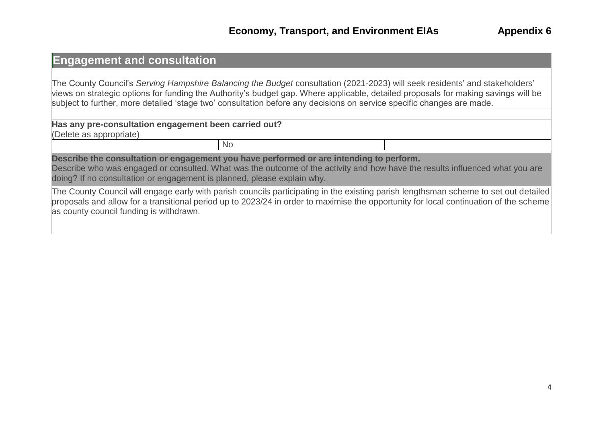## **Engagement and consultation**

The County Council's *Serving Hampshire Balancing the Budget* consultation (2021-2023) will seek residents' and stakeholders' views on strategic options for funding the Authority's budget gap. Where applicable, detailed proposals for making savings will be subject to further, more detailed 'stage two' consultation before any decisions on service specific changes are made.

**Has any pre-consultation engagement been carried out?** (Delete as appropriate)

**Describe the consultation or engagement you have performed or are intending to perform.**

No

Describe who was engaged or consulted. What was the outcome of the activity and how have the results influenced what you are doing? If no consultation or engagement is planned, please explain why.

The County Council will engage early with parish councils participating in the existing parish lengthsman scheme to set out detailed proposals and allow for a transitional period up to 2023/24 in order to maximise the opportunity for local continuation of the scheme as county council funding is withdrawn.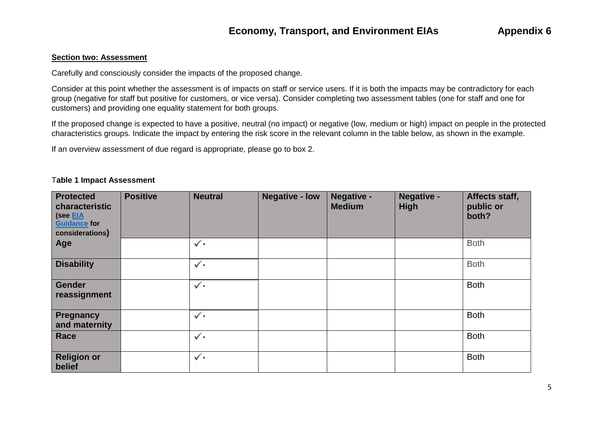#### **Section two: Assessment**

Carefully and consciously consider the impacts of the proposed change.

Consider at this point whether the assessment is of impacts on staff or service users. If it is both the impacts may be contradictory for each group (negative for staff but positive for customers, or vice versa). Consider completing two assessment tables (one for staff and one for customers) and providing one equality statement for both groups.

If the proposed change is expected to have a positive, neutral (no impact) or negative (low, medium or high) impact on people in the protected characteristics groups. Indicate the impact by entering the risk score in the relevant column in the table below, as shown in the example.

If an overview assessment of due regard is appropriate, please go to box 2.

| <b>Protected</b><br>characteristic<br>(see EIA<br><b>Guidance for</b><br>considerations) | <b>Positive</b> | <b>Neutral</b> | <b>Negative - low</b> | Negative -<br><b>Medium</b> | <b>Negative -</b><br><b>High</b> | Affects staff,<br>public or<br>both? |
|------------------------------------------------------------------------------------------|-----------------|----------------|-----------------------|-----------------------------|----------------------------------|--------------------------------------|
| Age                                                                                      |                 | $\checkmark$   |                       |                             |                                  | <b>Both</b>                          |
| <b>Disability</b>                                                                        |                 | $\checkmark$   |                       |                             |                                  | <b>Both</b>                          |
| <b>Gender</b><br>reassignment                                                            |                 | $\checkmark$   |                       |                             |                                  | <b>Both</b>                          |
| <b>Pregnancy</b><br>and maternity                                                        |                 | $\checkmark$   |                       |                             |                                  | <b>Both</b>                          |
| Race                                                                                     |                 | $\checkmark$   |                       |                             |                                  | <b>Both</b>                          |
| <b>Religion or</b><br>belief                                                             |                 | $\checkmark$   |                       |                             |                                  | <b>Both</b>                          |

T**able 1 Impact Assessment**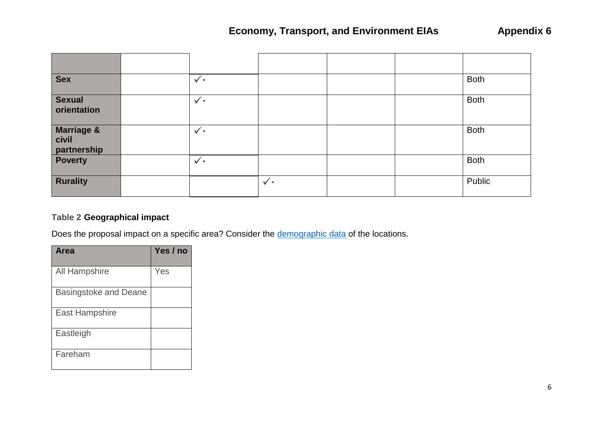| <b>Sex</b>                                    | $\checkmark$ |              |  | <b>Both</b> |
|-----------------------------------------------|--------------|--------------|--|-------------|
| <b>Sexual</b><br>orientation                  | $\checkmark$ |              |  | <b>Both</b> |
| <b>Marriage &amp;</b><br>civil<br>partnership | $\checkmark$ |              |  | <b>Both</b> |
| <b>Poverty</b>                                | $\checkmark$ |              |  | <b>Both</b> |
| Rurality                                      |              | $\checkmark$ |  | Public      |

## **Table 2 Geographical impact**

Does the proposal impact on a specific area? Consider the **demographic data** of the locations.

| Area                         | Yes / no |
|------------------------------|----------|
| <b>All Hampshire</b>         | Yes      |
| <b>Basingstoke and Deane</b> |          |
| <b>East Hampshire</b>        |          |
| Eastleigh                    |          |
| Fareham                      |          |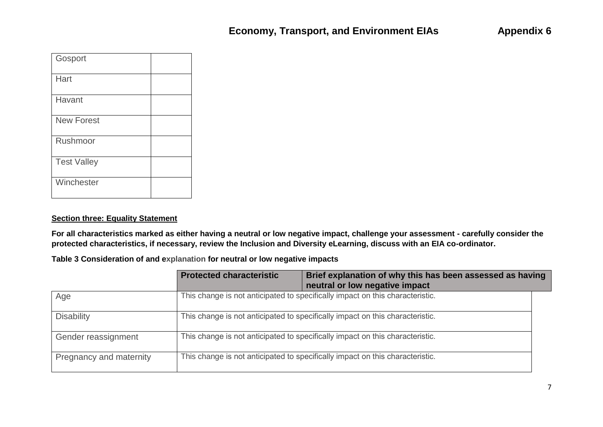| Gosport            |  |
|--------------------|--|
| Hart               |  |
| Havant             |  |
| <b>New Forest</b>  |  |
| Rushmoor           |  |
| <b>Test Valley</b> |  |
| Winchester         |  |

#### **Section three: Equality Statement**

**For all characteristics marked as either having a neutral or low negative impact, challenge your assessment - carefully consider the protected characteristics, if necessary, review the Inclusion and Diversity eLearning, discuss with an EIA co-ordinator.** 

**Table 3 Consideration of and explanation for neutral or low negative impacts**

|                         | <b>Protected characteristic</b>                                               | Brief explanation of why this has been assessed as having<br>neutral or low negative impact |  |
|-------------------------|-------------------------------------------------------------------------------|---------------------------------------------------------------------------------------------|--|
| Age                     |                                                                               | This change is not anticipated to specifically impact on this characteristic.               |  |
| <b>Disability</b>       | This change is not anticipated to specifically impact on this characteristic. |                                                                                             |  |
| Gender reassignment     | This change is not anticipated to specifically impact on this characteristic. |                                                                                             |  |
| Pregnancy and maternity |                                                                               | This change is not anticipated to specifically impact on this characteristic.               |  |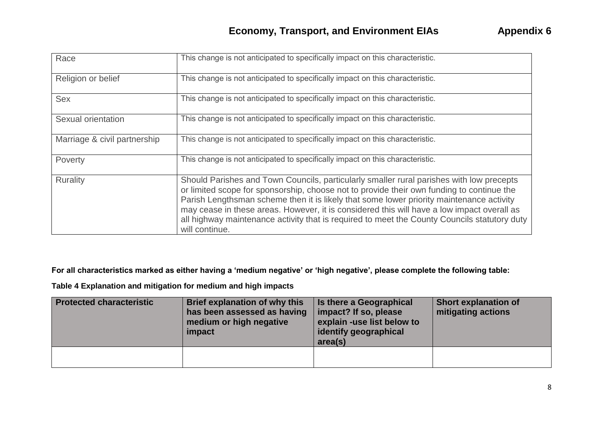| Race                         | This change is not anticipated to specifically impact on this characteristic.                                                                                                                                                                                                                                                                                                                                                                                                                     |
|------------------------------|---------------------------------------------------------------------------------------------------------------------------------------------------------------------------------------------------------------------------------------------------------------------------------------------------------------------------------------------------------------------------------------------------------------------------------------------------------------------------------------------------|
| Religion or belief           | This change is not anticipated to specifically impact on this characteristic.                                                                                                                                                                                                                                                                                                                                                                                                                     |
| <b>Sex</b>                   | This change is not anticipated to specifically impact on this characteristic.                                                                                                                                                                                                                                                                                                                                                                                                                     |
| Sexual orientation           | This change is not anticipated to specifically impact on this characteristic.                                                                                                                                                                                                                                                                                                                                                                                                                     |
| Marriage & civil partnership | This change is not anticipated to specifically impact on this characteristic.                                                                                                                                                                                                                                                                                                                                                                                                                     |
| Poverty                      | This change is not anticipated to specifically impact on this characteristic.                                                                                                                                                                                                                                                                                                                                                                                                                     |
| Rurality                     | Should Parishes and Town Councils, particularly smaller rural parishes with low precepts<br>or limited scope for sponsorship, choose not to provide their own funding to continue the<br>Parish Lengthsman scheme then it is likely that some lower priority maintenance activity<br>may cease in these areas. However, it is considered this will have a low impact overall as<br>all highway maintenance activity that is required to meet the County Councils statutory duty<br>will continue. |

### **For all characteristics marked as either having a 'medium negative' or 'high negative', please complete the following table:**

**Table 4 Explanation and mitigation for medium and high impacts**

| <b>Protected characteristic</b> | Brief explanation of why this<br>has been assessed as having<br>medium or high negative<br>impact | <b>Is there a Geographical</b><br>impact? If so, please<br>explain -use list below to<br>identify geographical<br>area(s) | <b>Short explanation of</b><br>mitigating actions |
|---------------------------------|---------------------------------------------------------------------------------------------------|---------------------------------------------------------------------------------------------------------------------------|---------------------------------------------------|
|                                 |                                                                                                   |                                                                                                                           |                                                   |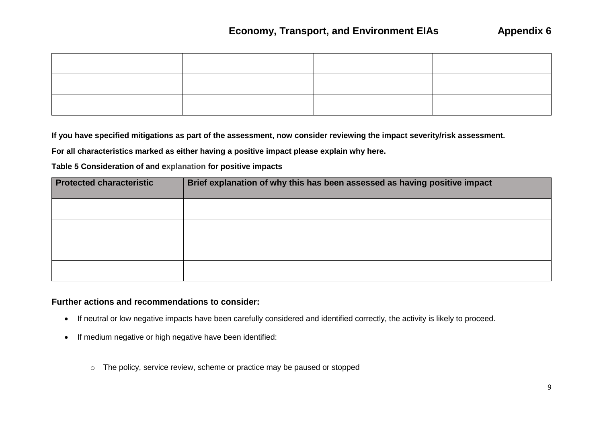**If you have specified mitigations as part of the assessment, now consider reviewing the impact severity/risk assessment.** 

**For all characteristics marked as either having a positive impact please explain why here.** 

**Table 5 Consideration of and explanation for positive impacts**

| <b>Protected characteristic</b> | Brief explanation of why this has been assessed as having positive impact |  |  |
|---------------------------------|---------------------------------------------------------------------------|--|--|
|                                 |                                                                           |  |  |
|                                 |                                                                           |  |  |
|                                 |                                                                           |  |  |
|                                 |                                                                           |  |  |

### **Further actions and recommendations to consider:**

- If neutral or low negative impacts have been carefully considered and identified correctly, the activity is likely to proceed.
- If medium negative or high negative have been identified:
	- o The policy, service review, scheme or practice may be paused or stopped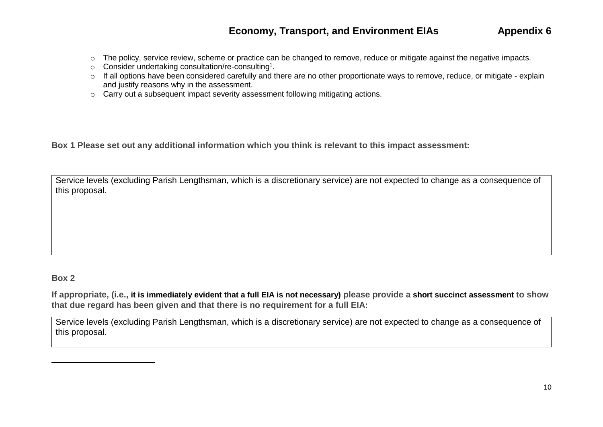- o The policy, service review, scheme or practice can be changed to remove, reduce or mitigate against the negative impacts.
- o Consider undertaking consultation/re-consulting<sup>1</sup>.
- o If all options have been considered carefully and there are no other proportionate ways to remove, reduce, or mitigate explain and justify reasons why in the assessment.
- o Carry out a subsequent impact severity assessment following mitigating actions.

**Box 1 Please set out any additional information which you think is relevant to this impact assessment:**

Service levels (excluding Parish Lengthsman, which is a discretionary service) are not expected to change as a consequence of this proposal.

### **Box 2**

 $\overline{\phantom{a}}$ 

**If appropriate, (i.e., it is immediately evident that a full EIA is not necessary) please provide a short succinct assessment to show that due regard has been given and that there is no requirement for a full EIA:**

Service levels (excluding Parish Lengthsman, which is a discretionary service) are not expected to change as a consequence of this proposal.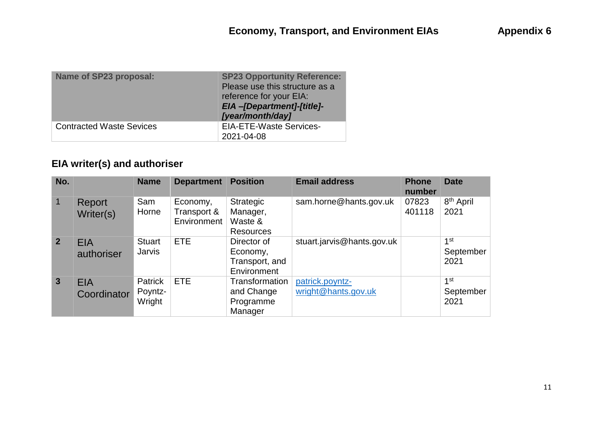| Name of SP23 proposal:          | <b>SP23 Opportunity Reference:</b><br>Please use this structure as a<br>reference for your EIA:<br>EIA-[Department]-[title]-<br>[year/month/day] |  |
|---------------------------------|--------------------------------------------------------------------------------------------------------------------------------------------------|--|
| <b>Contracted Waste Sevices</b> | <b>EIA-ETE-Waste Services-</b><br>2021-04-08                                                                                                     |  |

# **EIA writer(s) and authoriser**

| No.            |                           | <b>Name</b>                         | <b>Department</b>                      | <b>Position</b>                                          | <b>Email address</b>                   | <b>Phone</b><br>number | <b>Date</b>                          |
|----------------|---------------------------|-------------------------------------|----------------------------------------|----------------------------------------------------------|----------------------------------------|------------------------|--------------------------------------|
| $\mathbf{1}$   | Report<br>Writer(s)       | Sam<br>Horne                        | Economy,<br>Transport &<br>Environment | Strategic<br>Manager,<br>Waste &<br><b>Resources</b>     | sam.horne@hants.gov.uk                 | 07823<br>401118        | 8 <sup>th</sup> April<br>2021        |
| 2 <sup>2</sup> | <b>EIA</b><br>authoriser  | <b>Stuart</b><br><b>Jarvis</b>      | <b>ETE</b>                             | Director of<br>Economy,<br>Transport, and<br>Environment | stuart.jarvis@hants.gov.uk             |                        | 1 <sup>st</sup><br>September<br>2021 |
| $\mathbf{3}$   | <b>EIA</b><br>Coordinator | <b>Patrick</b><br>Poyntz-<br>Wright | <b>ETE</b>                             | Transformation<br>and Change<br>Programme<br>Manager     | patrick.poyntz-<br>wright@hants.gov.uk |                        | 1 <sup>st</sup><br>September<br>2021 |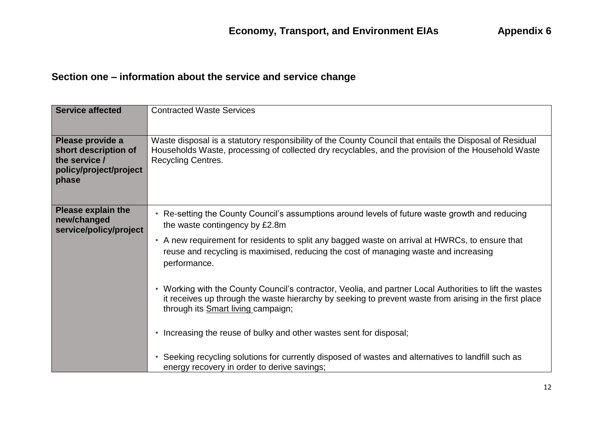# **Section one – information about the service and service change**

| <b>Service affected</b>                                                                      | <b>Contracted Waste Services</b>                                                                                                                                                                                                                       |
|----------------------------------------------------------------------------------------------|--------------------------------------------------------------------------------------------------------------------------------------------------------------------------------------------------------------------------------------------------------|
| Please provide a<br>short description of<br>the service /<br>policy/project/project<br>phase | Waste disposal is a statutory responsibility of the County Council that entails the Disposal of Residual<br>Households Waste, processing of collected dry recyclables, and the provision of the Household Waste<br><b>Recycling Centres.</b>           |
| <b>Please explain the</b><br>new/changed<br>service/policy/project                           | Re-setting the County Council's assumptions around levels of future waste growth and reducing<br>٠<br>the waste contingency by £2.8m                                                                                                                   |
|                                                                                              | • A new requirement for residents to split any bagged waste on arrival at HWRCs, to ensure that<br>reuse and recycling is maximised, reducing the cost of managing waste and increasing<br>performance.                                                |
|                                                                                              | Working with the County Council's contractor, Veolia, and partner Local Authorities to lift the wastes<br>it receives up through the waste hierarchy by seeking to prevent waste from arising in the first place<br>through its Smart living campaign; |
|                                                                                              | Increasing the reuse of bulky and other wastes sent for disposal;                                                                                                                                                                                      |
|                                                                                              | Seeking recycling solutions for currently disposed of wastes and alternatives to landfill such as<br>energy recovery in order to derive savings;                                                                                                       |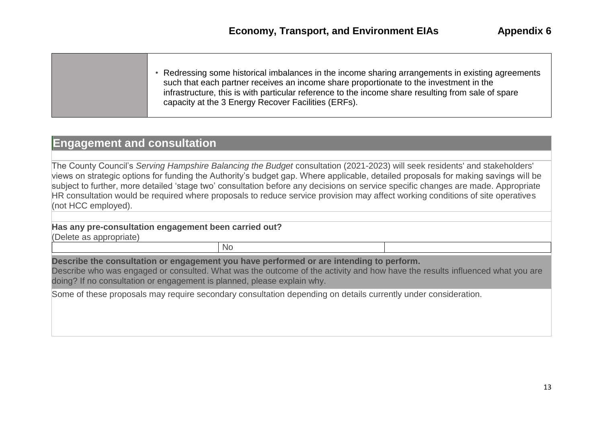| Redressing some historical imbalances in the income sharing arrangements in existing agreements<br>such that each partner receives an income share proportionate to the investment in the<br>infrastructure, this is with particular reference to the income share resulting from sale of spare<br>capacity at the 3 Energy Recover Facilities (ERFs). |
|--------------------------------------------------------------------------------------------------------------------------------------------------------------------------------------------------------------------------------------------------------------------------------------------------------------------------------------------------------|
|                                                                                                                                                                                                                                                                                                                                                        |

## **Engagement and consultation**

The County Council's *Serving Hampshire Balancing the Budget* consultation (2021-2023) will seek residents' and stakeholders' views on strategic options for funding the Authority's budget gap. Where applicable, detailed proposals for making savings will be subject to further, more detailed 'stage two' consultation before any decisions on service specific changes are made. Appropriate HR consultation would be required where proposals to reduce service provision may affect working conditions of site operatives (not HCC employed).

### **Has any pre-consultation engagement been carried out?**

(Delete as appropriate)

No

**Describe the consultation or engagement you have performed or are intending to perform.**

Describe who was engaged or consulted. What was the outcome of the activity and how have the results influenced what you are doing? If no consultation or engagement is planned, please explain why.

Some of these proposals may require secondary consultation depending on details currently under consideration.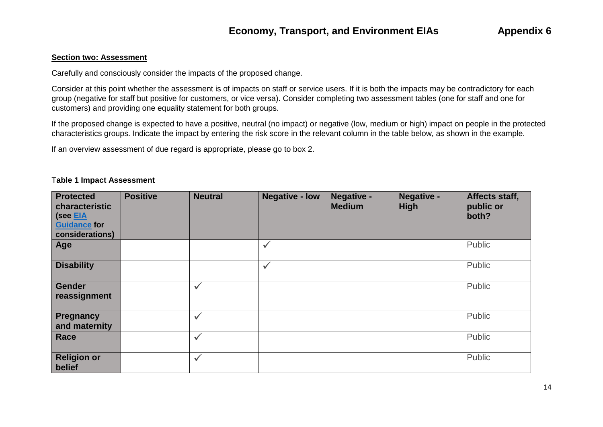#### **Section two: Assessment**

Carefully and consciously consider the impacts of the proposed change.

Consider at this point whether the assessment is of impacts on staff or service users. If it is both the impacts may be contradictory for each group (negative for staff but positive for customers, or vice versa). Consider completing two assessment tables (one for staff and one for customers) and providing one equality statement for both groups.

If the proposed change is expected to have a positive, neutral (no impact) or negative (low, medium or high) impact on people in the protected characteristics groups. Indicate the impact by entering the risk score in the relevant column in the table below, as shown in the example.

If an overview assessment of due regard is appropriate, please go to box 2.

| <b>Protected</b><br>characteristic<br>(see EIA<br><b>Guidance for</b><br>considerations) | <b>Positive</b> | <b>Neutral</b> | <b>Negative - low</b> | <b>Negative -</b><br><b>Medium</b> | Negative -<br><b>High</b> | Affects staff,<br>public or<br>both? |
|------------------------------------------------------------------------------------------|-----------------|----------------|-----------------------|------------------------------------|---------------------------|--------------------------------------|
| Age                                                                                      |                 |                | $\checkmark$          |                                    |                           | Public                               |
| <b>Disability</b>                                                                        |                 |                | $\checkmark$          |                                    |                           | Public                               |
| <b>Gender</b><br>reassignment                                                            |                 | $\checkmark$   |                       |                                    |                           | Public                               |
| <b>Pregnancy</b><br>and maternity                                                        |                 | $\checkmark$   |                       |                                    |                           | Public                               |
| Race                                                                                     |                 | $\checkmark$   |                       |                                    |                           | Public                               |
| <b>Religion or</b><br>belief                                                             |                 | $\checkmark$   |                       |                                    |                           | Public                               |

#### T**able 1 Impact Assessment**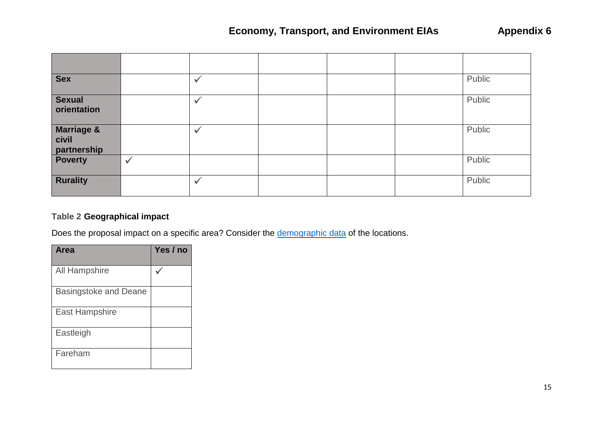| <b>Sex</b>                                    |              | v            |  | Public |
|-----------------------------------------------|--------------|--------------|--|--------|
| <b>Sexual</b><br>orientation                  |              | $\checkmark$ |  | Public |
| <b>Marriage &amp;</b><br>civil<br>partnership |              | $\checkmark$ |  | Public |
| <b>Poverty</b>                                | $\checkmark$ |              |  | Public |
| <b>Rurality</b>                               |              | $\checkmark$ |  | Public |

## **Table 2 Geographical impact**

Does the proposal impact on a specific area? Consider the **demographic data** of the locations.

| <b>Area</b>                  | Yes / no |
|------------------------------|----------|
| All Hampshire                |          |
| <b>Basingstoke and Deane</b> |          |
| <b>East Hampshire</b>        |          |
| Eastleigh                    |          |
| Fareham                      |          |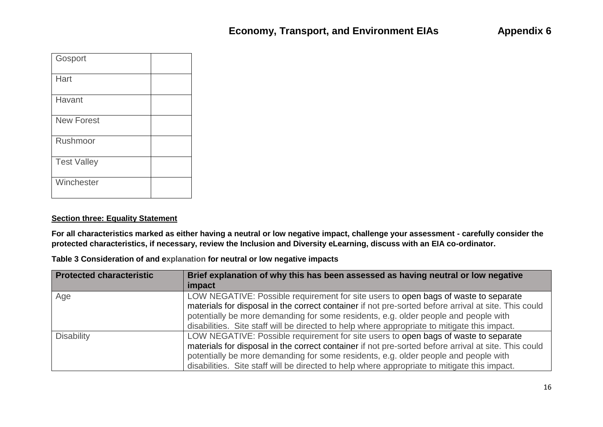| Gosport            |  |
|--------------------|--|
| Hart               |  |
| Havant             |  |
| <b>New Forest</b>  |  |
| Rushmoor           |  |
| <b>Test Valley</b> |  |
| Winchester         |  |

#### **Section three: Equality Statement**

**For all characteristics marked as either having a neutral or low negative impact, challenge your assessment - carefully consider the protected characteristics, if necessary, review the Inclusion and Diversity eLearning, discuss with an EIA co-ordinator.** 

**Table 3 Consideration of and explanation for neutral or low negative impacts**

| <b>Protected characteristic</b> | Brief explanation of why this has been assessed as having neutral or low negative<br>impact                                                                                                                                                                                                                                                                                        |
|---------------------------------|------------------------------------------------------------------------------------------------------------------------------------------------------------------------------------------------------------------------------------------------------------------------------------------------------------------------------------------------------------------------------------|
| Age                             | LOW NEGATIVE: Possible requirement for site users to open bags of waste to separate<br>materials for disposal in the correct container if not pre-sorted before arrival at site. This could<br>potentially be more demanding for some residents, e.g. older people and people with<br>disabilities. Site staff will be directed to help where appropriate to mitigate this impact. |
| <b>Disability</b>               | LOW NEGATIVE: Possible requirement for site users to open bags of waste to separate<br>materials for disposal in the correct container if not pre-sorted before arrival at site. This could<br>potentially be more demanding for some residents, e.g. older people and people with<br>disabilities. Site staff will be directed to help where appropriate to mitigate this impact. |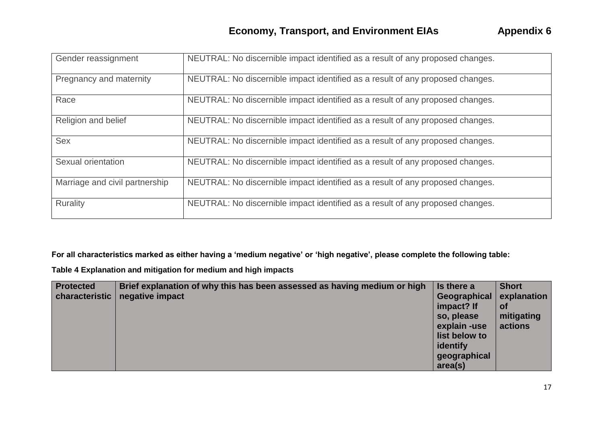| Gender reassignment            | NEUTRAL: No discernible impact identified as a result of any proposed changes. |
|--------------------------------|--------------------------------------------------------------------------------|
| Pregnancy and maternity        | NEUTRAL: No discernible impact identified as a result of any proposed changes. |
| Race                           | NEUTRAL: No discernible impact identified as a result of any proposed changes. |
| Religion and belief            | NEUTRAL: No discernible impact identified as a result of any proposed changes. |
| <b>Sex</b>                     | NEUTRAL: No discernible impact identified as a result of any proposed changes. |
| Sexual orientation             | NEUTRAL: No discernible impact identified as a result of any proposed changes. |
| Marriage and civil partnership | NEUTRAL: No discernible impact identified as a result of any proposed changes. |
| Rurality                       | NEUTRAL: No discernible impact identified as a result of any proposed changes. |

**For all characteristics marked as either having a 'medium negative' or 'high negative', please complete the following table:**

**Table 4 Explanation and mitigation for medium and high impacts**

| <b>Protected</b> | Brief explanation of why this has been assessed as having medium or high | Is there a    | <b>Short</b> |
|------------------|--------------------------------------------------------------------------|---------------|--------------|
| characteristic   | negative impact                                                          | Geographical  | explanation  |
|                  |                                                                          | impact? If    | <b>of</b>    |
|                  |                                                                          | so, please    | mitigating   |
|                  |                                                                          | explain -use  | actions      |
|                  |                                                                          | list below to |              |
|                  |                                                                          | identify      |              |
|                  |                                                                          | geographical  |              |
|                  |                                                                          | area(s)       |              |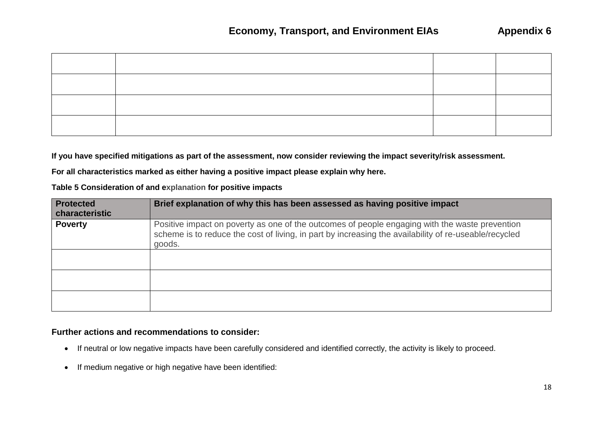**If you have specified mitigations as part of the assessment, now consider reviewing the impact severity/risk assessment.** 

**For all characteristics marked as either having a positive impact please explain why here.** 

| Table 5 Consideration of and explanation for positive impacts |  |
|---------------------------------------------------------------|--|
|---------------------------------------------------------------|--|

| <b>Protected</b><br>characteristic | Brief explanation of why this has been assessed as having positive impact                                                                                                                                         |
|------------------------------------|-------------------------------------------------------------------------------------------------------------------------------------------------------------------------------------------------------------------|
| <b>Poverty</b>                     | Positive impact on poverty as one of the outcomes of people engaging with the waste prevention<br>scheme is to reduce the cost of living, in part by increasing the availability of re-useable/recycled<br>goods. |
|                                    |                                                                                                                                                                                                                   |
|                                    |                                                                                                                                                                                                                   |
|                                    |                                                                                                                                                                                                                   |

### **Further actions and recommendations to consider:**

- If neutral or low negative impacts have been carefully considered and identified correctly, the activity is likely to proceed.
- If medium negative or high negative have been identified: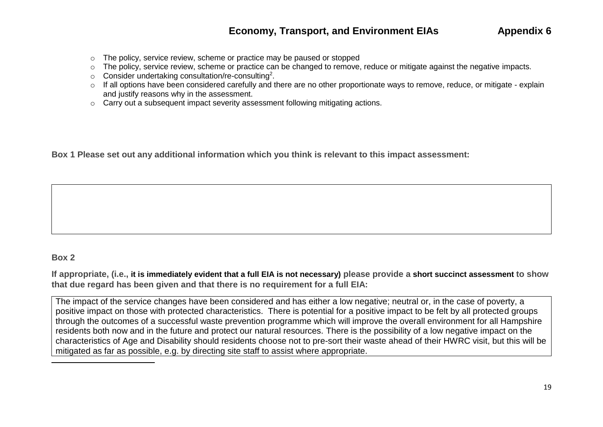- o The policy, service review, scheme or practice may be paused or stopped
- o The policy, service review, scheme or practice can be changed to remove, reduce or mitigate against the negative impacts.
- $\circ$  Consider undertaking consultation/re-consulting<sup>2</sup>.
- o If all options have been considered carefully and there are no other proportionate ways to remove, reduce, or mitigate explain and justify reasons why in the assessment.
- $\circ$  Carry out a subsequent impact severity assessment following mitigating actions.

**Box 1 Please set out any additional information which you think is relevant to this impact assessment:**

### **Box 2**

 $\overline{\phantom{a}}$ 

**If appropriate, (i.e., it is immediately evident that a full EIA is not necessary) please provide a short succinct assessment to show that due regard has been given and that there is no requirement for a full EIA:**

The impact of the service changes have been considered and has either a low negative; neutral or, in the case of poverty, a positive impact on those with protected characteristics. There is potential for a positive impact to be felt by all protected groups through the outcomes of a successful waste prevention programme which will improve the overall environment for all Hampshire residents both now and in the future and protect our natural resources. There is the possibility of a low negative impact on the characteristics of Age and Disability should residents choose not to pre-sort their waste ahead of their HWRC visit, but this will be mitigated as far as possible, e.g. by directing site staff to assist where appropriate.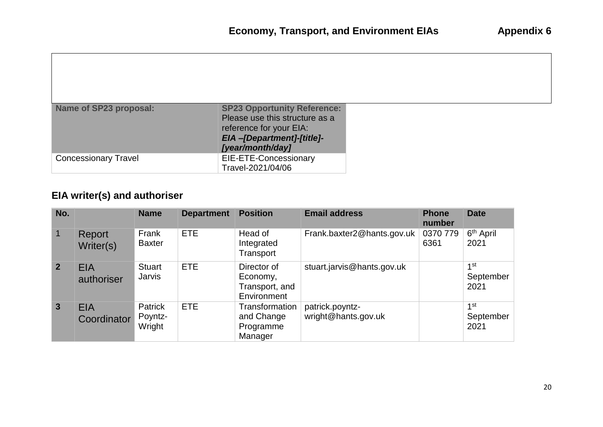| Name of SP23 proposal:      | <b>SP23 Opportunity Reference:</b>                        |
|-----------------------------|-----------------------------------------------------------|
|                             | Please use this structure as a<br>reference for your EIA: |
|                             | EIA-[Department]-[title]-<br>[year/month/day]             |
| <b>Concessionary Travel</b> | EIE-ETE-Concessionary<br>Travel-2021/04/06                |

# **EIA writer(s) and authoriser**

| No.            |                           | <b>Name</b>                    | <b>Department</b> | <b>Position</b>                                          | <b>Email address</b>                   | <b>Phone</b><br>number | <b>Date</b>                          |
|----------------|---------------------------|--------------------------------|-------------------|----------------------------------------------------------|----------------------------------------|------------------------|--------------------------------------|
|                | Report<br>Writer(s)       | Frank<br><b>Baxter</b>         | <b>ETE</b>        | Head of<br>Integrated<br>Transport                       | Frank.baxter2@hants.gov.uk             | 0370 779<br>6361       | 6 <sup>th</sup> April<br>2021        |
| 2 <sup>2</sup> | <b>EIA</b><br>authoriser  | <b>Stuart</b><br><b>Jarvis</b> | <b>ETE</b>        | Director of<br>Economy,<br>Transport, and<br>Environment | stuart.jarvis@hants.gov.uk             |                        | 1 <sup>st</sup><br>September<br>2021 |
| $3\phantom{a}$ | <b>EIA</b><br>Coordinator | Patrick<br>Poyntz-<br>Wright   | <b>ETE</b>        | Transformation<br>and Change<br>Programme<br>Manager     | patrick.poyntz-<br>wright@hants.gov.uk |                        | 1st<br>September<br>2021             |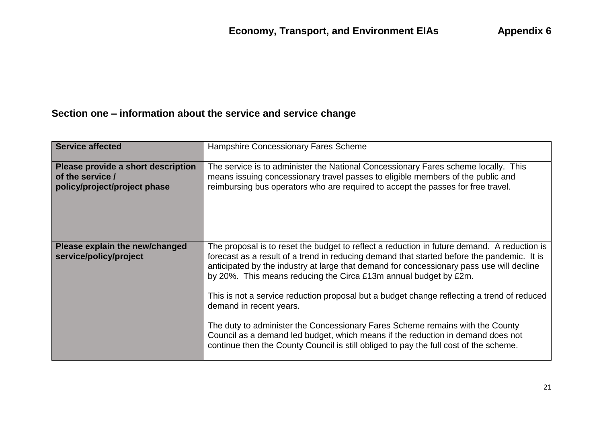# **Section one – information about the service and service change**

| <b>Service affected</b>                                                                | Hampshire Concessionary Fares Scheme                                                                                                                                                                                                                                                                                                                                                                                                                                               |
|----------------------------------------------------------------------------------------|------------------------------------------------------------------------------------------------------------------------------------------------------------------------------------------------------------------------------------------------------------------------------------------------------------------------------------------------------------------------------------------------------------------------------------------------------------------------------------|
| Please provide a short description<br>of the service /<br>policy/project/project phase | The service is to administer the National Concessionary Fares scheme locally. This<br>means issuing concessionary travel passes to eligible members of the public and<br>reimbursing bus operators who are required to accept the passes for free travel.                                                                                                                                                                                                                          |
| Please explain the new/changed<br>service/policy/project                               | The proposal is to reset the budget to reflect a reduction in future demand. A reduction is<br>forecast as a result of a trend in reducing demand that started before the pandemic. It is<br>anticipated by the industry at large that demand for concessionary pass use will decline<br>by 20%. This means reducing the Circa £13m annual budget by £2m.<br>This is not a service reduction proposal but a budget change reflecting a trend of reduced<br>demand in recent years. |
|                                                                                        | The duty to administer the Concessionary Fares Scheme remains with the County<br>Council as a demand led budget, which means if the reduction in demand does not<br>continue then the County Council is still obliged to pay the full cost of the scheme.                                                                                                                                                                                                                          |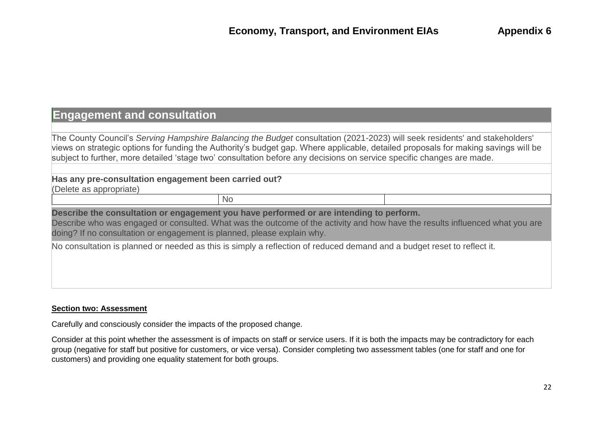## **Engagement and consultation**

The County Council's *Serving Hampshire Balancing the Budget* consultation (2021-2023) will seek residents' and stakeholders' views on strategic options for funding the Authority's budget gap. Where applicable, detailed proposals for making savings will be subject to further, more detailed 'stage two' consultation before any decisions on service specific changes are made.

**Has any pre-consultation engagement been carried out?** (Delete as appropriate)

**Describe the consultation or engagement you have performed or are intending to perform.** Describe who was engaged or consulted. What was the outcome of the activity and how have the results influenced what you are doing? If no consultation or engagement is planned, please explain why.

No consultation is planned or needed as this is simply a reflection of reduced demand and a budget reset to reflect it.

No

#### **Section two: Assessment**

Carefully and consciously consider the impacts of the proposed change.

Consider at this point whether the assessment is of impacts on staff or service users. If it is both the impacts may be contradictory for each group (negative for staff but positive for customers, or vice versa). Consider completing two assessment tables (one for staff and one for customers) and providing one equality statement for both groups.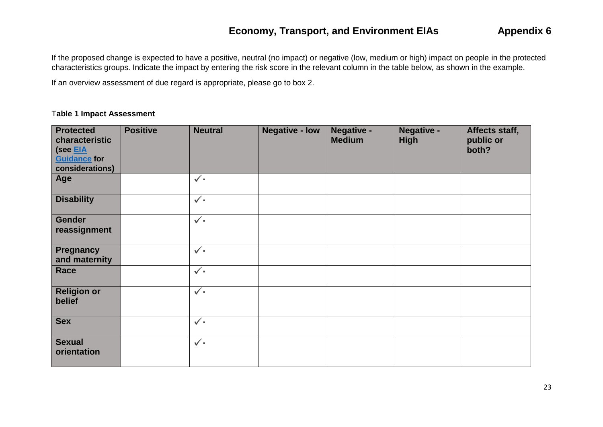If the proposed change is expected to have a positive, neutral (no impact) or negative (low, medium or high) impact on people in the protected characteristics groups. Indicate the impact by entering the risk score in the relevant column in the table below, as shown in the example.

If an overview assessment of due regard is appropriate, please go to box 2.

### T**able 1 Impact Assessment**

| <b>Protected</b><br>characteristic<br>(see EIA<br><b>Guidance for</b><br>considerations) | <b>Positive</b> | <b>Neutral</b> | <b>Negative - low</b> | <b>Negative -</b><br><b>Medium</b> | Negative -<br><b>High</b> | Affects staff,<br>public or<br>both? |
|------------------------------------------------------------------------------------------|-----------------|----------------|-----------------------|------------------------------------|---------------------------|--------------------------------------|
| Age                                                                                      |                 | $\checkmark$   |                       |                                    |                           |                                      |
| <b>Disability</b>                                                                        |                 | $\checkmark$   |                       |                                    |                           |                                      |
| <b>Gender</b><br>reassignment                                                            |                 | $\checkmark$   |                       |                                    |                           |                                      |
| <b>Pregnancy</b><br>and maternity                                                        |                 | $\checkmark$   |                       |                                    |                           |                                      |
| Race                                                                                     |                 | $\checkmark$   |                       |                                    |                           |                                      |
| <b>Religion or</b><br>belief                                                             |                 | $\checkmark$   |                       |                                    |                           |                                      |
| <b>Sex</b>                                                                               |                 | $\checkmark$   |                       |                                    |                           |                                      |
| <b>Sexual</b><br>orientation                                                             |                 | $\checkmark$   |                       |                                    |                           |                                      |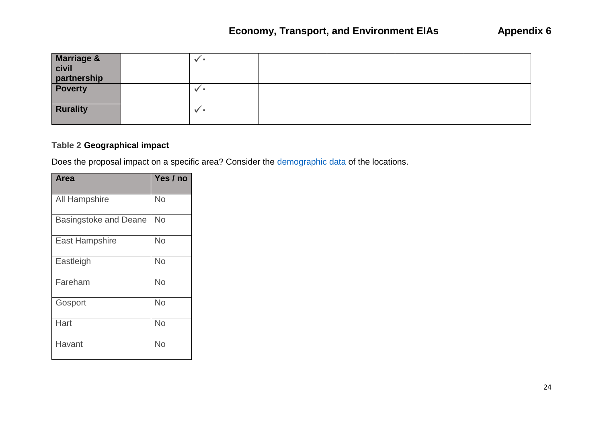| Marriage &<br>civil    |  |  |  |
|------------------------|--|--|--|
|                        |  |  |  |
| partnership<br>Poverty |  |  |  |
| Rurality               |  |  |  |

## **Table 2 Geographical impact**

Does the proposal impact on a specific area? Consider the **demographic data** of the locations.

| Area                         | Yes / no  |
|------------------------------|-----------|
| All Hampshire                | No        |
| <b>Basingstoke and Deane</b> | No        |
| <b>East Hampshire</b>        | No        |
| Eastleigh                    | No        |
| Fareham                      | No        |
| Gosport                      | No        |
| Hart                         | <b>No</b> |
| Havant                       | No        |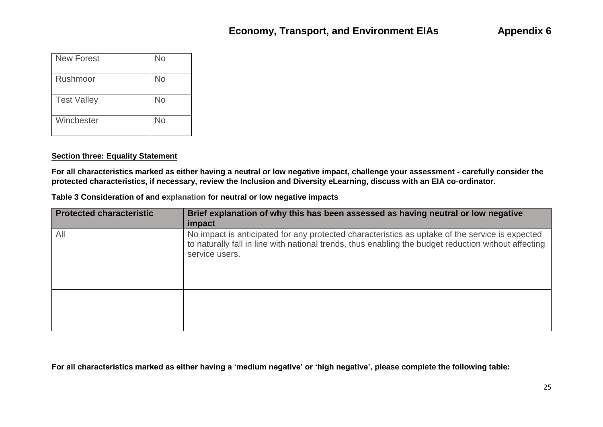| <b>New Forest</b>  | <b>No</b> |
|--------------------|-----------|
| Rushmoor           | No        |
| <b>Test Valley</b> | No        |
| Winchester         | No        |

#### **Section three: Equality Statement**

**For all characteristics marked as either having a neutral or low negative impact, challenge your assessment - carefully consider the protected characteristics, if necessary, review the Inclusion and Diversity eLearning, discuss with an EIA co-ordinator.** 

| Table 3 Consideration of and explanation for neutral or low negative impacts |  |  |
|------------------------------------------------------------------------------|--|--|
|------------------------------------------------------------------------------|--|--|

| <b>Protected characteristic</b> | Brief explanation of why this has been assessed as having neutral or low negative<br><i>impact</i>                                                                                                                        |
|---------------------------------|---------------------------------------------------------------------------------------------------------------------------------------------------------------------------------------------------------------------------|
| All                             | No impact is anticipated for any protected characteristics as uptake of the service is expected<br>to naturally fall in line with national trends, thus enabling the budget reduction without affecting<br>service users. |
|                                 |                                                                                                                                                                                                                           |
|                                 |                                                                                                                                                                                                                           |
|                                 |                                                                                                                                                                                                                           |

**For all characteristics marked as either having a 'medium negative' or 'high negative', please complete the following table:**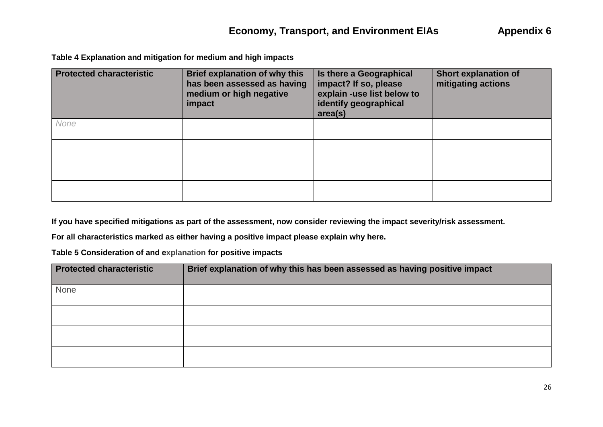**Table 4 Explanation and mitigation for medium and high impacts**

| <b>Protected characteristic</b> | <b>Brief explanation of why this</b><br>has been assessed as having<br>medium or high negative<br>impact | Is there a Geographical<br>impact? If so, please<br>explain -use list below to<br>identify geographical<br>area(s) | <b>Short explanation of</b><br>mitigating actions |
|---------------------------------|----------------------------------------------------------------------------------------------------------|--------------------------------------------------------------------------------------------------------------------|---------------------------------------------------|
| None                            |                                                                                                          |                                                                                                                    |                                                   |
|                                 |                                                                                                          |                                                                                                                    |                                                   |
|                                 |                                                                                                          |                                                                                                                    |                                                   |
|                                 |                                                                                                          |                                                                                                                    |                                                   |

**If you have specified mitigations as part of the assessment, now consider reviewing the impact severity/risk assessment.** 

**For all characteristics marked as either having a positive impact please explain why here.** 

**Table 5 Consideration of and explanation for positive impacts**

| <b>Protected characteristic</b> | Brief explanation of why this has been assessed as having positive impact |
|---------------------------------|---------------------------------------------------------------------------|
| None                            |                                                                           |
|                                 |                                                                           |
|                                 |                                                                           |
|                                 |                                                                           |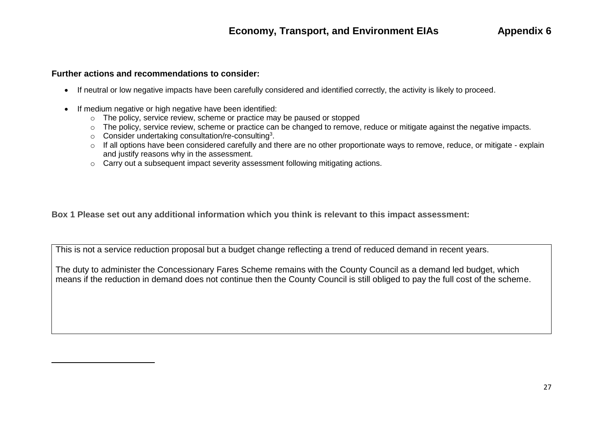#### **Further actions and recommendations to consider:**

 $\overline{\phantom{a}}$ 

- If neutral or low negative impacts have been carefully considered and identified correctly, the activity is likely to proceed.
- If medium negative or high negative have been identified:
	- o The policy, service review, scheme or practice may be paused or stopped
	- o The policy, service review, scheme or practice can be changed to remove, reduce or mitigate against the negative impacts.
	- $\circ$  Consider undertaking consultation/re-consulting<sup>3</sup>.
	- o If all options have been considered carefully and there are no other proportionate ways to remove, reduce, or mitigate explain and justify reasons why in the assessment.
	- $\circ$  Carry out a subsequent impact severity assessment following mitigating actions.

**Box 1 Please set out any additional information which you think is relevant to this impact assessment:**

This is not a service reduction proposal but a budget change reflecting a trend of reduced demand in recent years.

The duty to administer the Concessionary Fares Scheme remains with the County Council as a demand led budget, which means if the reduction in demand does not continue then the County Council is still obliged to pay the full cost of the scheme.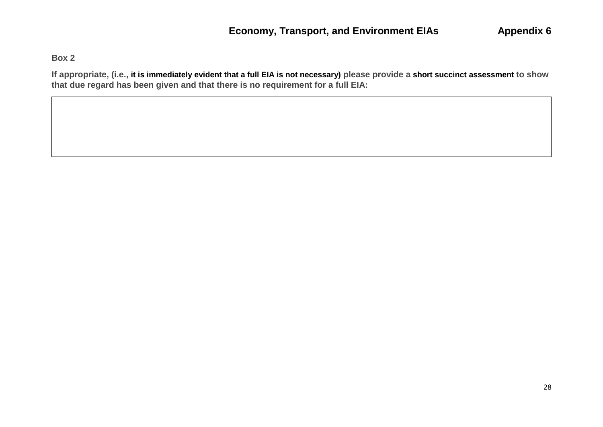## **Box 2**

**If appropriate, (i.e., it is immediately evident that a full EIA is not necessary) please provide a short succinct assessment to show that due regard has been given and that there is no requirement for a full EIA:**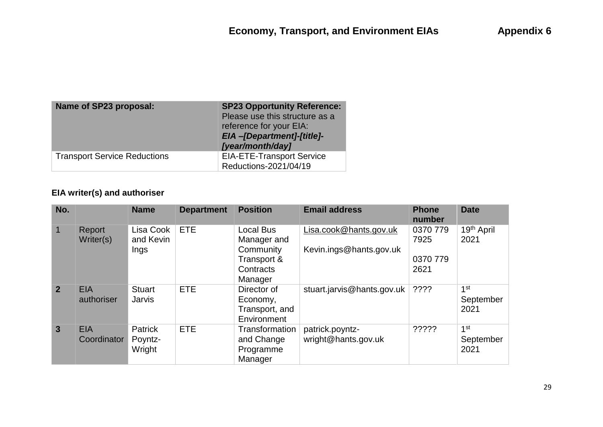| Name of SP23 proposal:              | <b>SP23 Opportunity Reference:</b><br>Please use this structure as a<br>reference for your EIA:<br>EIA-[Department]-[title]-<br>[year/month/day] |
|-------------------------------------|--------------------------------------------------------------------------------------------------------------------------------------------------|
| <b>Transport Service Reductions</b> | <b>EIA-ETE-Transport Service</b><br>Reductions-2021/04/19                                                                                        |

# **EIA writer(s) and authoriser**

| No.            |                           | <b>Name</b>                    | <b>Department</b> | <b>Position</b>                                                              | <b>Email address</b>                              | <b>Phone</b><br>number               | <b>Date</b>                          |
|----------------|---------------------------|--------------------------------|-------------------|------------------------------------------------------------------------------|---------------------------------------------------|--------------------------------------|--------------------------------------|
|                | Report<br>Writer(s)       | Lisa Cook<br>and Kevin<br>Ings | <b>ETE</b>        | Local Bus<br>Manager and<br>Community<br>Transport &<br>Contracts<br>Manager | Lisa.cook@hants.gov.uk<br>Kevin.ings@hants.gov.uk | 0370 779<br>7925<br>0370 779<br>2621 | 19 <sup>th</sup> April<br>2021       |
| 2 <sup>1</sup> | <b>EIA</b><br>authoriser  | <b>Stuart</b><br><b>Jarvis</b> | <b>ETE</b>        | Director of<br>Economy,<br>Transport, and<br>Environment                     | stuart.jarvis@hants.gov.uk                        | $??\mathsf{?}$                       | 1 <sup>st</sup><br>September<br>2021 |
| $\mathbf{3}$   | <b>EIA</b><br>Coordinator | Patrick<br>Poyntz-<br>Wright   | <b>ETE</b>        | Transformation<br>and Change<br>Programme<br>Manager                         | patrick.poyntz-<br>wright@hants.gov.uk            | ?????                                | 1 <sup>st</sup><br>September<br>2021 |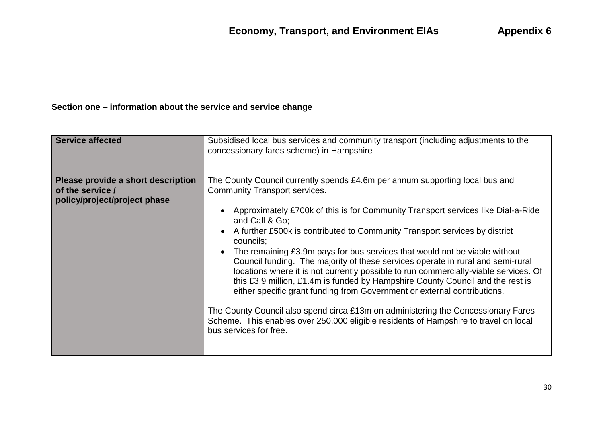## **Section one – information about the service and service change**

| <b>Service affected</b>                                                                | Subsidised local bus services and community transport (including adjustments to the<br>concessionary fares scheme) in Hampshire                                                                                                                                                                                                                                                                                                                                                                                                                                                                                                                                                                                                                                                                                                                                                                                                                                               |
|----------------------------------------------------------------------------------------|-------------------------------------------------------------------------------------------------------------------------------------------------------------------------------------------------------------------------------------------------------------------------------------------------------------------------------------------------------------------------------------------------------------------------------------------------------------------------------------------------------------------------------------------------------------------------------------------------------------------------------------------------------------------------------------------------------------------------------------------------------------------------------------------------------------------------------------------------------------------------------------------------------------------------------------------------------------------------------|
| Please provide a short description<br>of the service /<br>policy/project/project phase | The County Council currently spends £4.6m per annum supporting local bus and<br><b>Community Transport services.</b><br>Approximately £700k of this is for Community Transport services like Dial-a-Ride<br>and Call & Go:<br>A further £500k is contributed to Community Transport services by district<br>$\bullet$<br>councils;<br>The remaining £3.9m pays for bus services that would not be viable without<br>$\bullet$<br>Council funding. The majority of these services operate in rural and semi-rural<br>locations where it is not currently possible to run commercially-viable services. Of<br>this £3.9 million, £1.4m is funded by Hampshire County Council and the rest is<br>either specific grant funding from Government or external contributions.<br>The County Council also spend circa £13m on administering the Concessionary Fares<br>Scheme. This enables over 250,000 eligible residents of Hampshire to travel on local<br>bus services for free. |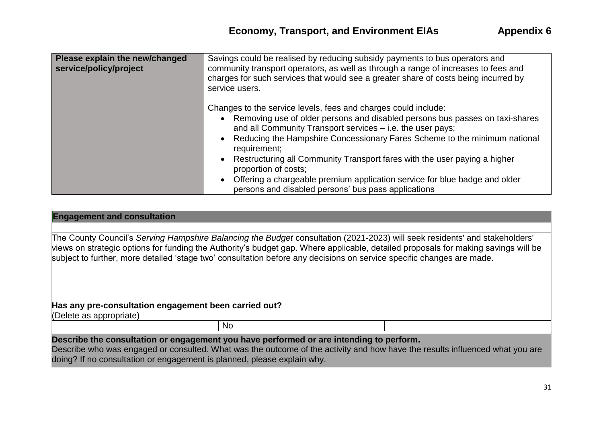| Please explain the new/changed<br>service/policy/project | Savings could be realised by reducing subsidy payments to bus operators and<br>community transport operators, as well as through a range of increases to fees and<br>charges for such services that would see a greater share of costs being incurred by<br>service users.                                                                                                                                           |
|----------------------------------------------------------|----------------------------------------------------------------------------------------------------------------------------------------------------------------------------------------------------------------------------------------------------------------------------------------------------------------------------------------------------------------------------------------------------------------------|
|                                                          | Changes to the service levels, fees and charges could include:<br>• Removing use of older persons and disabled persons bus passes on taxi-shares<br>and all Community Transport services – i.e. the user pays;<br>• Reducing the Hampshire Concessionary Fares Scheme to the minimum national<br>requirement:<br>• Restructuring all Community Transport fares with the user paying a higher<br>proportion of costs; |
|                                                          | • Offering a chargeable premium application service for blue badge and older<br>persons and disabled persons' bus pass applications                                                                                                                                                                                                                                                                                  |

### **Engagement and consultation**

The County Council's *Serving Hampshire Balancing the Budget* consultation (2021-2023) will seek residents' and stakeholders' views on strategic options for funding the Authority's budget gap. Where applicable, detailed proposals for making savings will be subject to further, more detailed 'stage two' consultation before any decisions on service specific changes are made.

#### **Has any pre-consultation engagement been carried out?**

(Delete as appropriate)

No

**Describe the consultation or engagement you have performed or are intending to perform.**

Describe who was engaged or consulted. What was the outcome of the activity and how have the results influenced what you are doing? If no consultation or engagement is planned, please explain why.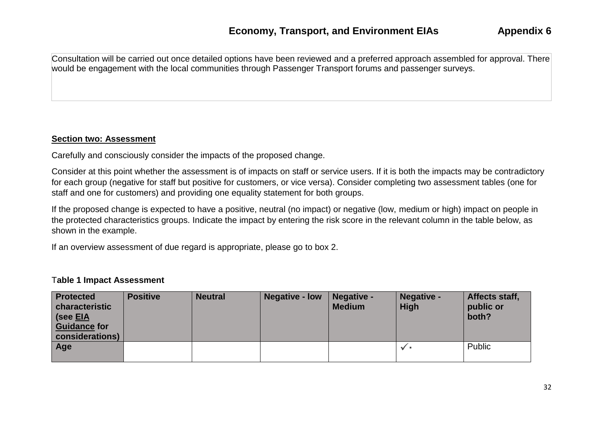Consultation will be carried out once detailed options have been reviewed and a preferred approach assembled for approval. There would be engagement with the local communities through Passenger Transport forums and passenger surveys.

### **Section two: Assessment**

Carefully and consciously consider the impacts of the proposed change.

Consider at this point whether the assessment is of impacts on staff or service users. If it is both the impacts may be contradictory for each group (negative for staff but positive for customers, or vice versa). Consider completing two assessment tables (one for staff and one for customers) and providing one equality statement for both groups.

If the proposed change is expected to have a positive, neutral (no impact) or negative (low, medium or high) impact on people in the protected characteristics groups. Indicate the impact by entering the risk score in the relevant column in the table below, as shown in the example.

If an overview assessment of due regard is appropriate, please go to box 2.

### T**able 1 Impact Assessment**

| <b>Protected</b><br>characteristic<br>(see EIA<br><b>Guidance for</b><br>considerations) | <b>Positive</b> | <b>Neutral</b> | <b>Negative - low</b> | Negative -<br><b>Medium</b> | Negative -<br><b>High</b> | Affects staff,<br>public or<br>both? |
|------------------------------------------------------------------------------------------|-----------------|----------------|-----------------------|-----------------------------|---------------------------|--------------------------------------|
| Age                                                                                      |                 |                |                       |                             | $\sqrt{ }$                | Public                               |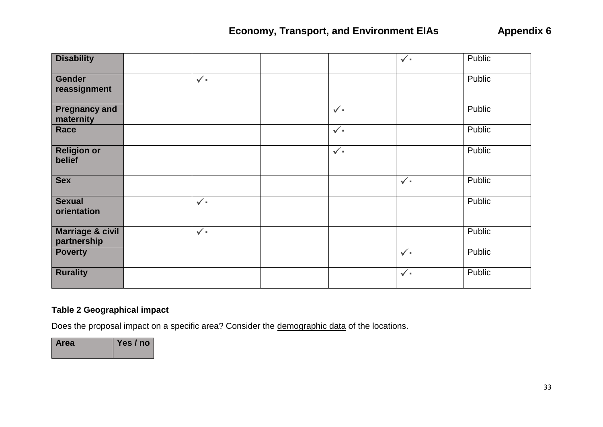| <b>Disability</b>                          |              |              | $\checkmark$ | Public        |
|--------------------------------------------|--------------|--------------|--------------|---------------|
| <b>Gender</b><br>reassignment              | $\checkmark$ |              |              | <b>Public</b> |
| <b>Pregnancy and</b><br>maternity          |              | $\checkmark$ |              | Public        |
| Race                                       |              | $\checkmark$ |              | Public        |
| <b>Religion or</b><br>belief               |              | $\checkmark$ |              | Public        |
| <b>Sex</b>                                 |              |              | $\checkmark$ | Public        |
| <b>Sexual</b><br>orientation               | $\checkmark$ |              |              | Public        |
| <b>Marriage &amp; civil</b><br>partnership | $\checkmark$ |              |              | Public        |
| <b>Poverty</b>                             |              |              | $\checkmark$ | Public        |
| <b>Rurality</b>                            |              |              | $\checkmark$ | Public        |

## **Table 2 Geographical impact**

Does the proposal impact on a specific area? Consider the [demographic data](https://www.hants.gov.uk/landplanningandenvironment/facts-figures) of the locations.

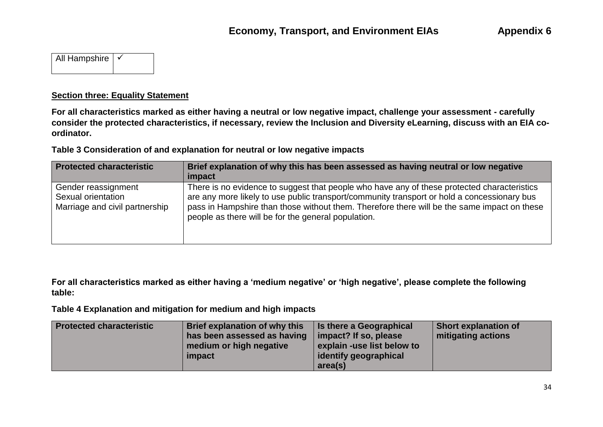| All Hampshire V |  |
|-----------------|--|
|                 |  |

### **Section three: Equality Statement**

**For all characteristics marked as either having a neutral or low negative impact, challenge your assessment - carefully consider the protected characteristics, if necessary, review the Inclusion and Diversity eLearning, discuss with an EIA coordinator.** 

**Table 3 Consideration of and explanation for neutral or low negative impacts**

| <b>Protected characteristic</b>                                             | Brief explanation of why this has been assessed as having neutral or low negative                                                                                                                                                                                                                                                                |  |  |
|-----------------------------------------------------------------------------|--------------------------------------------------------------------------------------------------------------------------------------------------------------------------------------------------------------------------------------------------------------------------------------------------------------------------------------------------|--|--|
|                                                                             | impact                                                                                                                                                                                                                                                                                                                                           |  |  |
| Gender reassignment<br>Sexual orientation<br>Marriage and civil partnership | There is no evidence to suggest that people who have any of these protected characteristics<br>are any more likely to use public transport/community transport or hold a concessionary bus<br>pass in Hampshire than those without them. Therefore there will be the same impact on these<br>people as there will be for the general population. |  |  |

**For all characteristics marked as either having a 'medium negative' or 'high negative', please complete the following table:**

**Table 4 Explanation and mitigation for medium and high impacts**

| <b>Protected characteristic</b> | Brief explanation of why this<br>has been assessed as having<br>medium or high negative<br>impact | <b>Is there a Geographical</b><br>impact? If so, please<br>explain -use list below to<br>identify geographical<br>area(s) | <b>Short explanation of</b><br>mitigating actions |
|---------------------------------|---------------------------------------------------------------------------------------------------|---------------------------------------------------------------------------------------------------------------------------|---------------------------------------------------|
|---------------------------------|---------------------------------------------------------------------------------------------------|---------------------------------------------------------------------------------------------------------------------------|---------------------------------------------------|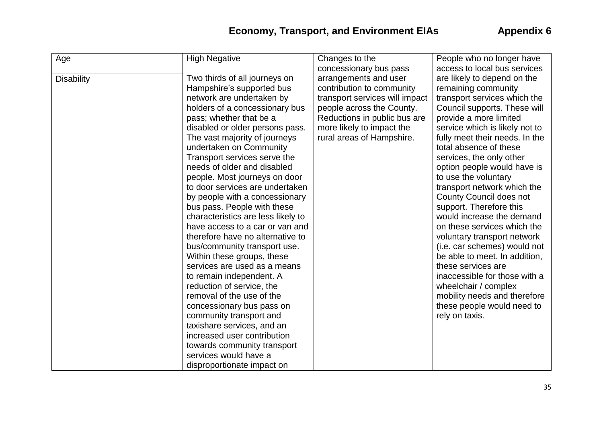| Age               | <b>High Negative</b>               | Changes to the                 | People who no longer have      |
|-------------------|------------------------------------|--------------------------------|--------------------------------|
|                   |                                    | concessionary bus pass         | access to local bus services   |
| <b>Disability</b> | Two thirds of all journeys on      | arrangements and user          | are likely to depend on the    |
|                   | Hampshire's supported bus          | contribution to community      | remaining community            |
|                   | network are undertaken by          | transport services will impact | transport services which the   |
|                   | holders of a concessionary bus     | people across the County.      | Council supports. These will   |
|                   | pass; whether that be a            | Reductions in public bus are   | provide a more limited         |
|                   | disabled or older persons pass.    | more likely to impact the      | service which is likely not to |
|                   | The vast majority of journeys      | rural areas of Hampshire.      | fully meet their needs. In the |
|                   | undertaken on Community            |                                | total absence of these         |
|                   | Transport services serve the       |                                | services, the only other       |
|                   | needs of older and disabled        |                                | option people would have is    |
|                   | people. Most journeys on door      |                                | to use the voluntary           |
|                   | to door services are undertaken    |                                | transport network which the    |
|                   | by people with a concessionary     |                                | County Council does not        |
|                   | bus pass. People with these        |                                | support. Therefore this        |
|                   | characteristics are less likely to |                                | would increase the demand      |
|                   | have access to a car or van and    |                                | on these services which the    |
|                   | therefore have no alternative to   |                                | voluntary transport network    |
|                   | bus/community transport use.       |                                | (i.e. car schemes) would not   |
|                   | Within these groups, these         |                                | be able to meet. In addition,  |
|                   | services are used as a means       |                                | these services are             |
|                   | to remain independent. A           |                                | inaccessible for those with a  |
|                   | reduction of service, the          |                                | wheelchair / complex           |
|                   | removal of the use of the          |                                | mobility needs and therefore   |
|                   | concessionary bus pass on          |                                | these people would need to     |
|                   | community transport and            |                                | rely on taxis.                 |
|                   | taxishare services, and an         |                                |                                |
|                   | increased user contribution        |                                |                                |
|                   | towards community transport        |                                |                                |
|                   | services would have a              |                                |                                |
|                   | disproportionate impact on         |                                |                                |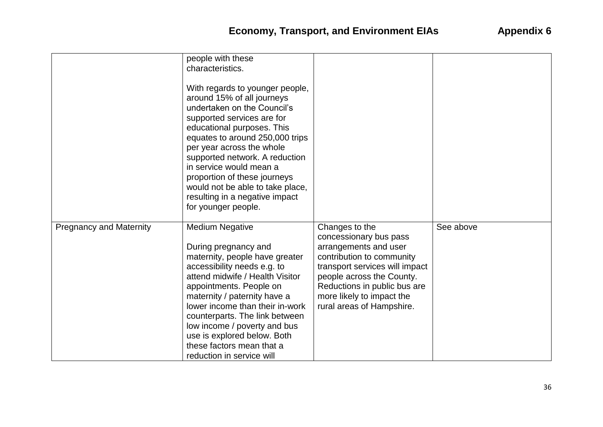# **Economy, Transport, and Environment EIAs Appendix 6**

|                                | people with these<br>characteristics.<br>With regards to younger people,<br>around 15% of all journeys<br>undertaken on the Council's<br>supported services are for<br>educational purposes. This<br>equates to around 250,000 trips<br>per year across the whole<br>supported network. A reduction<br>in service would mean a<br>proportion of these journeys<br>would not be able to take place,<br>resulting in a negative impact |                                                                                                                                                                                                                                                         |           |
|--------------------------------|--------------------------------------------------------------------------------------------------------------------------------------------------------------------------------------------------------------------------------------------------------------------------------------------------------------------------------------------------------------------------------------------------------------------------------------|---------------------------------------------------------------------------------------------------------------------------------------------------------------------------------------------------------------------------------------------------------|-----------|
|                                | for younger people.                                                                                                                                                                                                                                                                                                                                                                                                                  |                                                                                                                                                                                                                                                         |           |
| <b>Pregnancy and Maternity</b> | <b>Medium Negative</b><br>During pregnancy and<br>maternity, people have greater<br>accessibility needs e.g. to<br>attend midwife / Health Visitor<br>appointments. People on<br>maternity / paternity have a<br>lower income than their in-work<br>counterparts. The link between<br>low income / poverty and bus<br>use is explored below. Both<br>these factors mean that a<br>reduction in service will                          | Changes to the<br>concessionary bus pass<br>arrangements and user<br>contribution to community<br>transport services will impact<br>people across the County.<br>Reductions in public bus are<br>more likely to impact the<br>rural areas of Hampshire. | See above |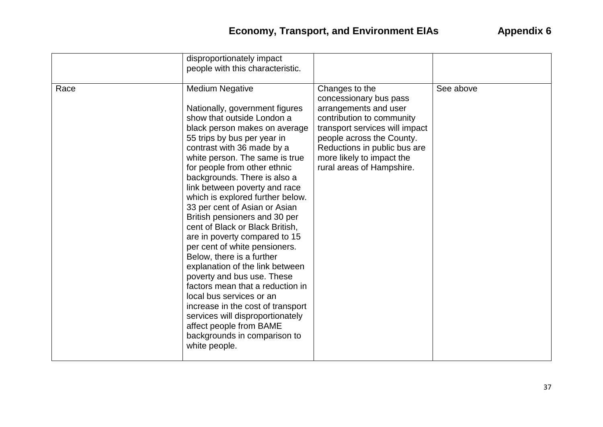|      | disproportionately impact                                                                                                                                                                                                                                                                                                                                                                                                                                                                                                                                                                                                                                                                                                                                                                                                                             |                                                                                                                                                                                                                                                         |           |
|------|-------------------------------------------------------------------------------------------------------------------------------------------------------------------------------------------------------------------------------------------------------------------------------------------------------------------------------------------------------------------------------------------------------------------------------------------------------------------------------------------------------------------------------------------------------------------------------------------------------------------------------------------------------------------------------------------------------------------------------------------------------------------------------------------------------------------------------------------------------|---------------------------------------------------------------------------------------------------------------------------------------------------------------------------------------------------------------------------------------------------------|-----------|
|      | people with this characteristic.                                                                                                                                                                                                                                                                                                                                                                                                                                                                                                                                                                                                                                                                                                                                                                                                                      |                                                                                                                                                                                                                                                         |           |
| Race | <b>Medium Negative</b><br>Nationally, government figures<br>show that outside London a<br>black person makes on average<br>55 trips by bus per year in<br>contrast with 36 made by a<br>white person. The same is true<br>for people from other ethnic<br>backgrounds. There is also a<br>link between poverty and race<br>which is explored further below.<br>33 per cent of Asian or Asian<br>British pensioners and 30 per<br>cent of Black or Black British,<br>are in poverty compared to 15<br>per cent of white pensioners.<br>Below, there is a further<br>explanation of the link between<br>poverty and bus use. These<br>factors mean that a reduction in<br>local bus services or an<br>increase in the cost of transport<br>services will disproportionately<br>affect people from BAME<br>backgrounds in comparison to<br>white people. | Changes to the<br>concessionary bus pass<br>arrangements and user<br>contribution to community<br>transport services will impact<br>people across the County.<br>Reductions in public bus are<br>more likely to impact the<br>rural areas of Hampshire. | See above |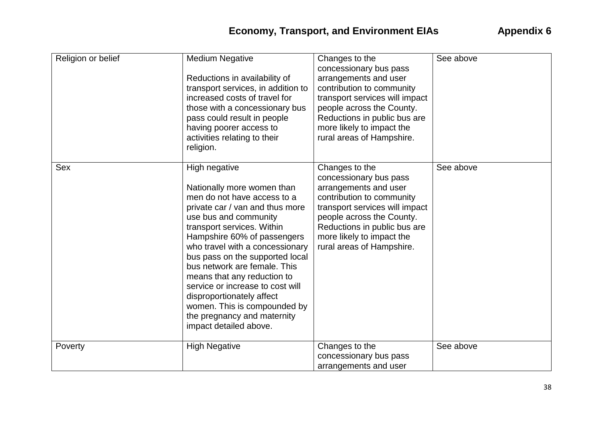# **Economy, Transport, and Environment EIAs Appendix 6**

| Religion or belief | <b>Medium Negative</b><br>Reductions in availability of<br>transport services, in addition to<br>increased costs of travel for<br>those with a concessionary bus<br>pass could result in people<br>having poorer access to<br>activities relating to their<br>religion.                                                                                                                                                                                                                            | Changes to the<br>concessionary bus pass<br>arrangements and user<br>contribution to community<br>transport services will impact<br>people across the County.<br>Reductions in public bus are<br>more likely to impact the<br>rural areas of Hampshire. | See above |
|--------------------|----------------------------------------------------------------------------------------------------------------------------------------------------------------------------------------------------------------------------------------------------------------------------------------------------------------------------------------------------------------------------------------------------------------------------------------------------------------------------------------------------|---------------------------------------------------------------------------------------------------------------------------------------------------------------------------------------------------------------------------------------------------------|-----------|
| <b>Sex</b>         | High negative<br>Nationally more women than<br>men do not have access to a<br>private car / van and thus more<br>use bus and community<br>transport services. Within<br>Hampshire 60% of passengers<br>who travel with a concessionary<br>bus pass on the supported local<br>bus network are female. This<br>means that any reduction to<br>service or increase to cost will<br>disproportionately affect<br>women. This is compounded by<br>the pregnancy and maternity<br>impact detailed above. | Changes to the<br>concessionary bus pass<br>arrangements and user<br>contribution to community<br>transport services will impact<br>people across the County.<br>Reductions in public bus are<br>more likely to impact the<br>rural areas of Hampshire. | See above |
| Poverty            | <b>High Negative</b>                                                                                                                                                                                                                                                                                                                                                                                                                                                                               | Changes to the<br>concessionary bus pass<br>arrangements and user                                                                                                                                                                                       | See above |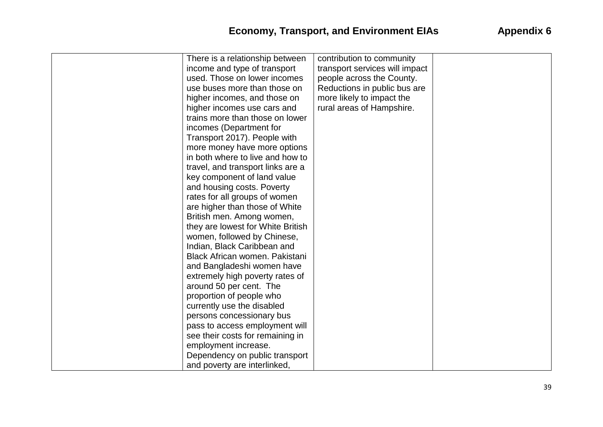| There is a relationship between   | contribution to community      |  |
|-----------------------------------|--------------------------------|--|
| income and type of transport      | transport services will impact |  |
| used. Those on lower incomes      | people across the County.      |  |
| use buses more than those on      | Reductions in public bus are   |  |
| higher incomes, and those on      | more likely to impact the      |  |
| higher incomes use cars and       | rural areas of Hampshire.      |  |
| trains more than those on lower   |                                |  |
| incomes (Department for           |                                |  |
| Transport 2017). People with      |                                |  |
| more money have more options      |                                |  |
| in both where to live and how to  |                                |  |
| travel, and transport links are a |                                |  |
| key component of land value       |                                |  |
| and housing costs. Poverty        |                                |  |
| rates for all groups of women     |                                |  |
| are higher than those of White    |                                |  |
| British men. Among women,         |                                |  |
| they are lowest for White British |                                |  |
| women, followed by Chinese,       |                                |  |
| Indian, Black Caribbean and       |                                |  |
| Black African women. Pakistani    |                                |  |
| and Bangladeshi women have        |                                |  |
| extremely high poverty rates of   |                                |  |
| around 50 per cent. The           |                                |  |
| proportion of people who          |                                |  |
| currently use the disabled        |                                |  |
| persons concessionary bus         |                                |  |
| pass to access employment will    |                                |  |
| see their costs for remaining in  |                                |  |
| employment increase.              |                                |  |
| Dependency on public transport    |                                |  |
| and poverty are interlinked,      |                                |  |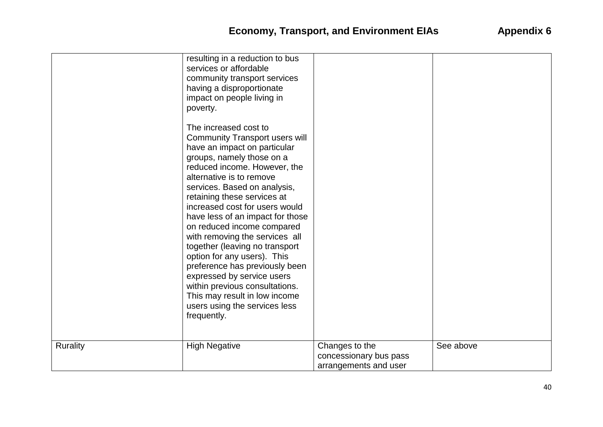|          | resulting in a reduction to bus<br>services or affordable<br>community transport services<br>having a disproportionate<br>impact on people living in<br>poverty.<br>The increased cost to<br><b>Community Transport users will</b><br>have an impact on particular<br>groups, namely those on a<br>reduced income. However, the<br>alternative is to remove<br>services. Based on analysis,<br>retaining these services at<br>increased cost for users would<br>have less of an impact for those<br>on reduced income compared<br>with removing the services all<br>together (leaving no transport<br>option for any users). This<br>preference has previously been<br>expressed by service users<br>within previous consultations.<br>This may result in low income |                                                                   |           |
|----------|----------------------------------------------------------------------------------------------------------------------------------------------------------------------------------------------------------------------------------------------------------------------------------------------------------------------------------------------------------------------------------------------------------------------------------------------------------------------------------------------------------------------------------------------------------------------------------------------------------------------------------------------------------------------------------------------------------------------------------------------------------------------|-------------------------------------------------------------------|-----------|
|          | users using the services less<br>frequently.                                                                                                                                                                                                                                                                                                                                                                                                                                                                                                                                                                                                                                                                                                                         |                                                                   |           |
| Rurality | <b>High Negative</b>                                                                                                                                                                                                                                                                                                                                                                                                                                                                                                                                                                                                                                                                                                                                                 | Changes to the<br>concessionary bus pass<br>arrangements and user | See above |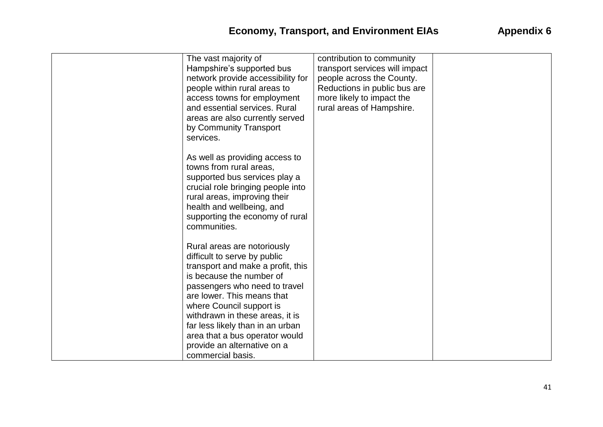| The vast majority of              | contribution to community      |  |
|-----------------------------------|--------------------------------|--|
| Hampshire's supported bus         | transport services will impact |  |
| network provide accessibility for | people across the County.      |  |
| people within rural areas to      | Reductions in public bus are   |  |
| access towns for employment       | more likely to impact the      |  |
| and essential services. Rural     | rural areas of Hampshire.      |  |
| areas are also currently served   |                                |  |
| by Community Transport            |                                |  |
| services.                         |                                |  |
|                                   |                                |  |
| As well as providing access to    |                                |  |
| towns from rural areas,           |                                |  |
| supported bus services play a     |                                |  |
| crucial role bringing people into |                                |  |
| rural areas, improving their      |                                |  |
| health and wellbeing, and         |                                |  |
| supporting the economy of rural   |                                |  |
| communities.                      |                                |  |
|                                   |                                |  |
| Rural areas are notoriously       |                                |  |
| difficult to serve by public      |                                |  |
| transport and make a profit, this |                                |  |
| is because the number of          |                                |  |
| passengers who need to travel     |                                |  |
| are lower. This means that        |                                |  |
| where Council support is          |                                |  |
| withdrawn in these areas, it is   |                                |  |
| far less likely than in an urban  |                                |  |
| area that a bus operator would    |                                |  |
| provide an alternative on a       |                                |  |
| commercial basis.                 |                                |  |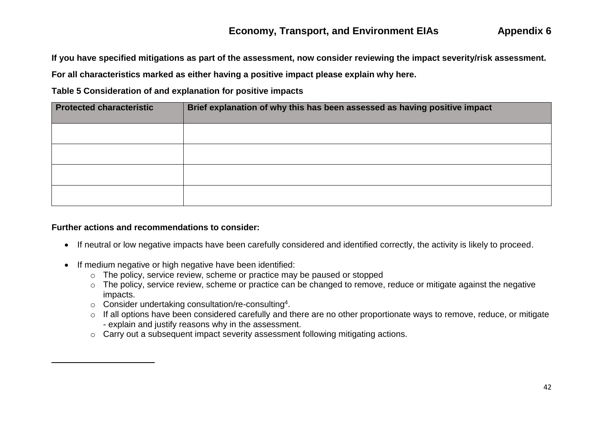**If you have specified mitigations as part of the assessment, now consider reviewing the impact severity/risk assessment. For all characteristics marked as either having a positive impact please explain why here.** 

**Table 5 Consideration of and explanation for positive impacts**

| <b>Protected characteristic</b> | Brief explanation of why this has been assessed as having positive impact |
|---------------------------------|---------------------------------------------------------------------------|
|                                 |                                                                           |
|                                 |                                                                           |
|                                 |                                                                           |
|                                 |                                                                           |

#### **Further actions and recommendations to consider:**

 $\overline{\phantom{a}}$ 

- If neutral or low negative impacts have been carefully considered and identified correctly, the activity is likely to proceed.
- If medium negative or high negative have been identified:
	- o The policy, service review, scheme or practice may be paused or stopped
	- o The policy, service review, scheme or practice can be changed to remove, reduce or mitigate against the negative impacts.
	- $\circ$  Consider undertaking consultation/re-consulting<sup>4</sup>.
	- o If all options have been considered carefully and there are no other proportionate ways to remove, reduce, or mitigate - explain and justify reasons why in the assessment.
	- o Carry out a subsequent impact severity assessment following mitigating actions.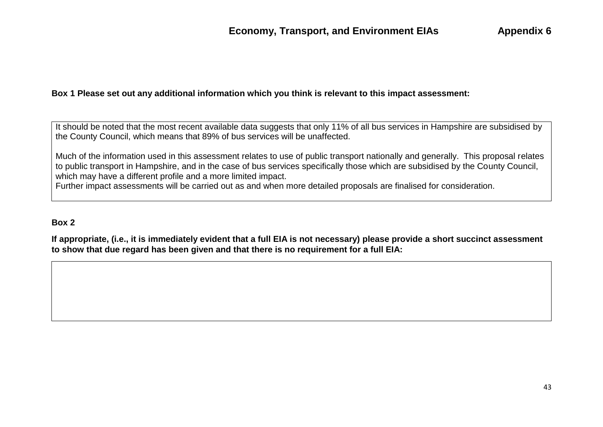### **Box 1 Please set out any additional information which you think is relevant to this impact assessment:**

It should be noted that the most recent available data suggests that only 11% of all bus services in Hampshire are subsidised by the County Council, which means that 89% of bus services will be unaffected.

Much of the information used in this assessment relates to use of public transport nationally and generally. This proposal relates to public transport in Hampshire, and in the case of bus services specifically those which are subsidised by the County Council, which may have a different profile and a more limited impact.

Further impact assessments will be carried out as and when more detailed proposals are finalised for consideration.

## **Box 2**

**If appropriate, (i.e., it is immediately evident that a full EIA is not necessary) please provide a short succinct assessment to show that due regard has been given and that there is no requirement for a full EIA:**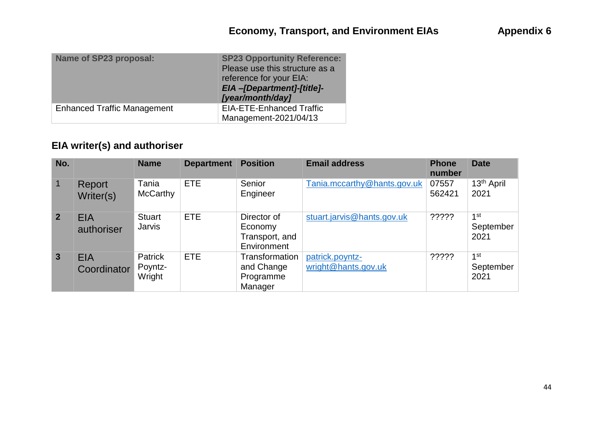| Name of SP23 proposal:             | <b>SP23 Opportunity Reference:</b><br>Please use this structure as a<br>reference for your EIA:<br>EIA-[Department]-[title]-<br>[year/month/day] |
|------------------------------------|--------------------------------------------------------------------------------------------------------------------------------------------------|
| <b>Enhanced Traffic Management</b> | <b>EIA-ETE-Enhanced Traffic</b><br>Management-2021/04/13                                                                                         |

# **EIA writer(s) and authoriser**

| No.            |                           | <b>Name</b>                  | <b>Department</b> | <b>Position</b>                                         | <b>Email address</b>                   | <b>Phone</b><br>number | <b>Date</b>                          |
|----------------|---------------------------|------------------------------|-------------------|---------------------------------------------------------|----------------------------------------|------------------------|--------------------------------------|
| $\mathbf{1}$   | Report<br>Writer(s)       | Tania<br><b>McCarthy</b>     | ETE               | Senior<br>Engineer                                      | Tania.mccarthy@hants.gov.uk            | 07557<br>562421        | 13 <sup>th</sup> April<br>2021       |
| $\overline{2}$ | <b>EIA</b><br>authoriser  | <b>Stuart</b><br>Jarvis      | <b>ETE</b>        | Director of<br>Economy<br>Transport, and<br>Environment | stuart.jarvis@hants.gov.uk             | ?????                  | 1 <sup>st</sup><br>September<br>2021 |
| 3 <sup>1</sup> | <b>EIA</b><br>Coordinator | Patrick<br>Poyntz-<br>Wright | ETE               | Transformation<br>and Change<br>Programme<br>Manager    | patrick.poyntz-<br>wright@hants.gov.uk | ?????                  | 1 <sup>st</sup><br>September<br>2021 |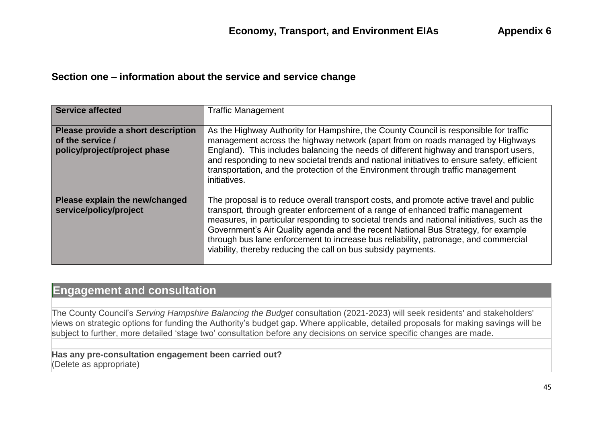## **Section one – information about the service and service change**

| <b>Service affected</b>                                                                | <b>Traffic Management</b>                                                                                                                                                                                                                                                                                                                                                                                                                                                                                               |
|----------------------------------------------------------------------------------------|-------------------------------------------------------------------------------------------------------------------------------------------------------------------------------------------------------------------------------------------------------------------------------------------------------------------------------------------------------------------------------------------------------------------------------------------------------------------------------------------------------------------------|
| Please provide a short description<br>of the service /<br>policy/project/project phase | As the Highway Authority for Hampshire, the County Council is responsible for traffic<br>management across the highway network (apart from on roads managed by Highways<br>England). This includes balancing the needs of different highway and transport users,<br>and responding to new societal trends and national initiatives to ensure safety, efficient<br>transportation, and the protection of the Environment through traffic management<br>initiatives.                                                      |
| Please explain the new/changed<br>service/policy/project                               | The proposal is to reduce overall transport costs, and promote active travel and public<br>transport, through greater enforcement of a range of enhanced traffic management<br>measures, in particular responding to societal trends and national initiatives, such as the<br>Government's Air Quality agenda and the recent National Bus Strategy, for example<br>through bus lane enforcement to increase bus reliability, patronage, and commercial<br>viability, thereby reducing the call on bus subsidy payments. |

# **Engagement and consultation**

The County Council's *Serving Hampshire Balancing the Budget* consultation (2021-2023) will seek residents' and stakeholders' views on strategic options for funding the Authority's budget gap. Where applicable, detailed proposals for making savings will be subject to further, more detailed 'stage two' consultation before any decisions on service specific changes are made.

**Has any pre-consultation engagement been carried out?** (Delete as appropriate)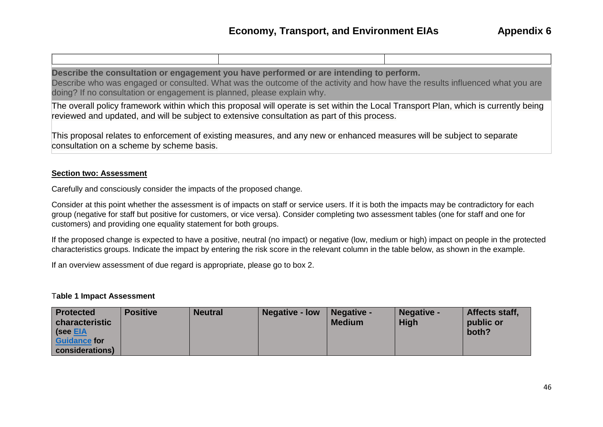**Describe the consultation or engagement you have performed or are intending to perform.** Describe who was engaged or consulted. What was the outcome of the activity and how have the results influenced what you are doing? If no consultation or engagement is planned, please explain why.

The overall policy framework within which this proposal will operate is set within the Local Transport Plan, which is currently being reviewed and updated, and will be subject to extensive consultation as part of this process.

This proposal relates to enforcement of existing measures, and any new or enhanced measures will be subject to separate consultation on a scheme by scheme basis.

#### **Section two: Assessment**

Carefully and consciously consider the impacts of the proposed change.

Consider at this point whether the assessment is of impacts on staff or service users. If it is both the impacts may be contradictory for each group (negative for staff but positive for customers, or vice versa). Consider completing two assessment tables (one for staff and one for customers) and providing one equality statement for both groups.

If the proposed change is expected to have a positive, neutral (no impact) or negative (low, medium or high) impact on people in the protected characteristics groups. Indicate the impact by entering the risk score in the relevant column in the table below, as shown in the example.

If an overview assessment of due regard is appropriate, please go to box 2.

#### T**able 1 Impact Assessment**

| <b>Protected</b>    | <b>Positive</b> | <b>Neutral</b> | <b>Negative - low</b> | <b>Negative -</b> | <b>Negative -</b> | Affects staff, |
|---------------------|-----------------|----------------|-----------------------|-------------------|-------------------|----------------|
| characteristic      |                 |                |                       | <b>Medium</b>     | <b>High</b>       | public or      |
| (see EIA            |                 |                |                       |                   |                   | both?          |
| <b>Guidance for</b> |                 |                |                       |                   |                   |                |
| considerations)     |                 |                |                       |                   |                   |                |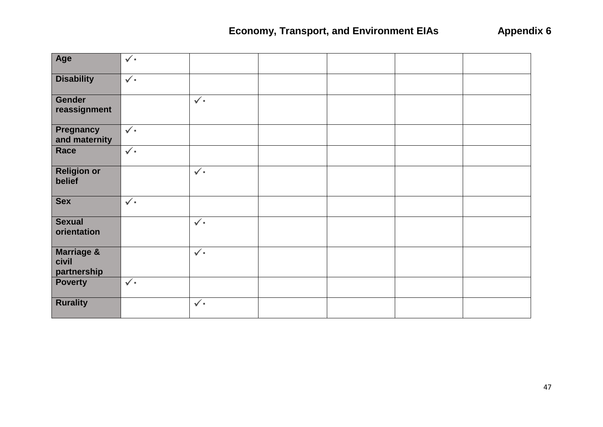| Age                                           | $\checkmark$ |              |  |  |
|-----------------------------------------------|--------------|--------------|--|--|
| <b>Disability</b>                             | $\checkmark$ |              |  |  |
| Gender<br>reassignment                        |              | $\checkmark$ |  |  |
| Pregnancy<br>and maternity                    | $\checkmark$ |              |  |  |
| Race                                          | $\checkmark$ |              |  |  |
| <b>Religion or</b><br>belief                  |              | $\checkmark$ |  |  |
| <b>Sex</b>                                    | $\checkmark$ |              |  |  |
| <b>Sexual</b><br>orientation                  |              | $\checkmark$ |  |  |
| <b>Marriage &amp;</b><br>civil<br>partnership |              | $\checkmark$ |  |  |
| <b>Poverty</b>                                | $\checkmark$ |              |  |  |
| <b>Rurality</b>                               |              | $\checkmark$ |  |  |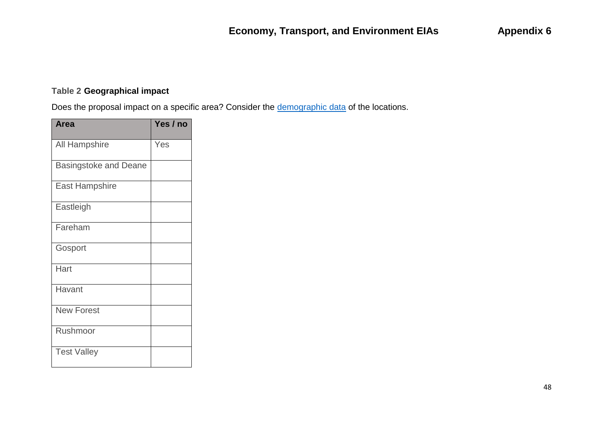# **Table 2 Geographical impact**

Does the proposal impact on a specific area? Consider the **demographic data** of the locations.

| Area                         | Yes / no |
|------------------------------|----------|
| All Hampshire                | Yes      |
| <b>Basingstoke and Deane</b> |          |
| <b>East Hampshire</b>        |          |
| Eastleigh                    |          |
| Fareham                      |          |
| Gosport                      |          |
| Hart                         |          |
| Havant                       |          |
| <b>New Forest</b>            |          |
| Rushmoor                     |          |
| <b>Test Valley</b>           |          |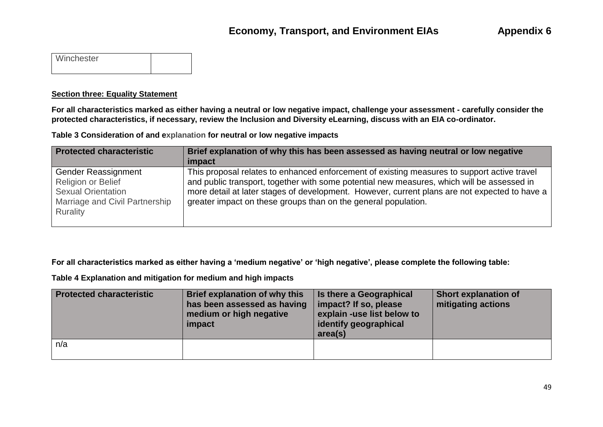| Winchester |  |
|------------|--|
|            |  |

#### **Section three: Equality Statement**

**For all characteristics marked as either having a neutral or low negative impact, challenge your assessment - carefully consider the protected characteristics, if necessary, review the Inclusion and Diversity eLearning, discuss with an EIA co-ordinator.** 

**Table 3 Consideration of and explanation for neutral or low negative impacts**

| <b>Protected characteristic</b>                                                                                             | Brief explanation of why this has been assessed as having neutral or low negative<br>impact                                                                                                                                                                                                                                                                  |
|-----------------------------------------------------------------------------------------------------------------------------|--------------------------------------------------------------------------------------------------------------------------------------------------------------------------------------------------------------------------------------------------------------------------------------------------------------------------------------------------------------|
| <b>Gender Reassignment</b><br>Religion or Belief<br>Sexual Orientation<br><b>Marriage and Civil Partnership</b><br>Rurality | This proposal relates to enhanced enforcement of existing measures to support active travel<br>and public transport, together with some potential new measures, which will be assessed in<br>more detail at later stages of development. However, current plans are not expected to have a<br>greater impact on these groups than on the general population. |

**For all characteristics marked as either having a 'medium negative' or 'high negative', please complete the following table:**

**Table 4 Explanation and mitigation for medium and high impacts**

| <b>Protected characteristic</b> | Brief explanation of why this<br>has been assessed as having<br>medium or high negative<br>impact | Is there a Geographical<br>impact? If so, please<br>explain -use list below to<br>identify geographical<br>area(s) | <b>Short explanation of</b><br>mitigating actions |
|---------------------------------|---------------------------------------------------------------------------------------------------|--------------------------------------------------------------------------------------------------------------------|---------------------------------------------------|
| n/a                             |                                                                                                   |                                                                                                                    |                                                   |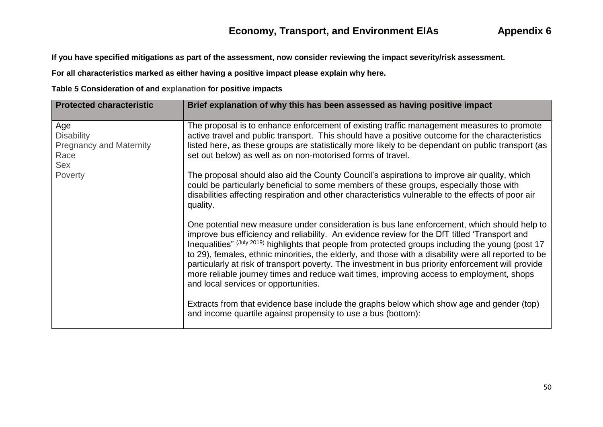**If you have specified mitigations as part of the assessment, now consider reviewing the impact severity/risk assessment.** 

**For all characteristics marked as either having a positive impact please explain why here.** 

**Table 5 Consideration of and explanation for positive impacts**

| <b>Protected characteristic</b>                                           | Brief explanation of why this has been assessed as having positive impact                                                                                                                                                                                                                                                                                                                                                                                                                                                                                                                                                                            |
|---------------------------------------------------------------------------|------------------------------------------------------------------------------------------------------------------------------------------------------------------------------------------------------------------------------------------------------------------------------------------------------------------------------------------------------------------------------------------------------------------------------------------------------------------------------------------------------------------------------------------------------------------------------------------------------------------------------------------------------|
| Age<br><b>Disability</b><br><b>Pregnancy and Maternity</b><br>Race<br>Sex | The proposal is to enhance enforcement of existing traffic management measures to promote<br>active travel and public transport. This should have a positive outcome for the characteristics<br>listed here, as these groups are statistically more likely to be dependant on public transport (as<br>set out below) as well as on non-motorised forms of travel.                                                                                                                                                                                                                                                                                    |
| Poverty                                                                   | The proposal should also aid the County Council's aspirations to improve air quality, which<br>could be particularly beneficial to some members of these groups, especially those with<br>disabilities affecting respiration and other characteristics vulnerable to the effects of poor air<br>quality.                                                                                                                                                                                                                                                                                                                                             |
|                                                                           | One potential new measure under consideration is bus lane enforcement, which should help to<br>improve bus efficiency and reliability. An evidence review for the DfT titled 'Transport and<br>Inequalities" (July 2019) highlights that people from protected groups including the young (post 17<br>to 29), females, ethnic minorities, the elderly, and those with a disability were all reported to be<br>particularly at risk of transport poverty. The investment in bus priority enforcement will provide<br>more reliable journey times and reduce wait times, improving access to employment, shops<br>and local services or opportunities. |
|                                                                           | Extracts from that evidence base include the graphs below which show age and gender (top)<br>and income quartile against propensity to use a bus (bottom):                                                                                                                                                                                                                                                                                                                                                                                                                                                                                           |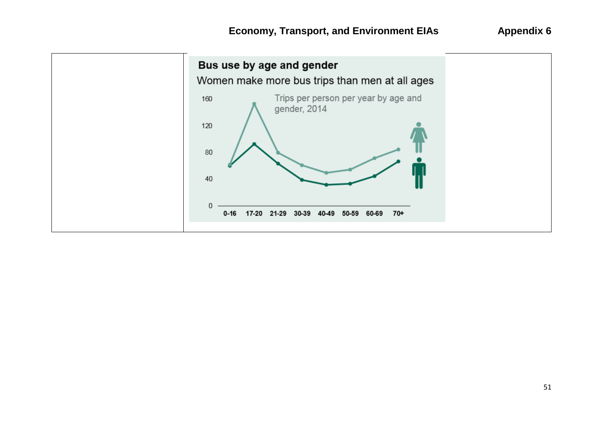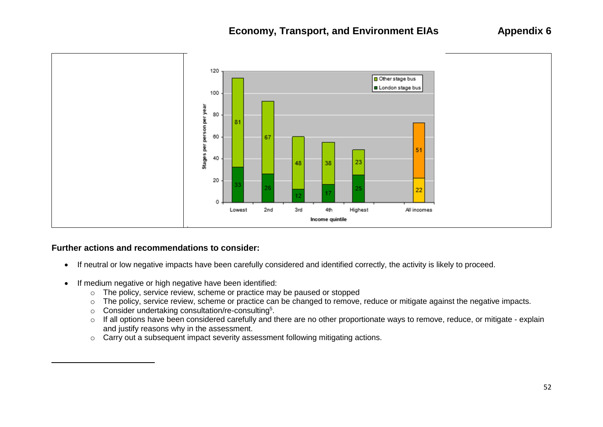# **Economy, Transport, and Environment EIAs Appendix 6**



#### **Further actions and recommendations to consider:**

 $\overline{\phantom{a}}$ 

- If neutral or low negative impacts have been carefully considered and identified correctly, the activity is likely to proceed.
- If medium negative or high negative have been identified:
	- o The policy, service review, scheme or practice may be paused or stopped
	- o The policy, service review, scheme or practice can be changed to remove, reduce or mitigate against the negative impacts.
	- $\circ$  Consider undertaking consultation/re-consulting<sup>5</sup>.
	- o If all options have been considered carefully and there are no other proportionate ways to remove, reduce, or mitigate explain and justify reasons why in the assessment.
	- o Carry out a subsequent impact severity assessment following mitigating actions.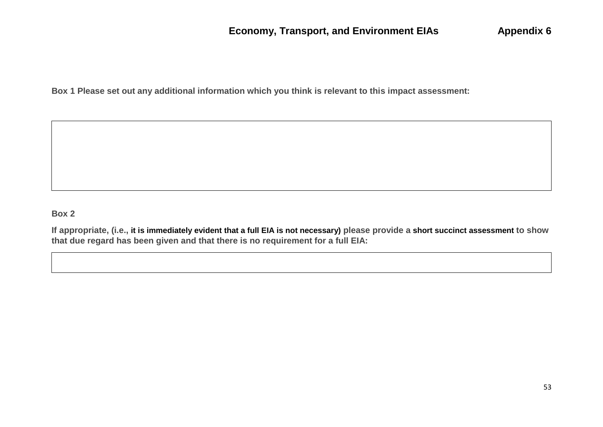**Box 1 Please set out any additional information which you think is relevant to this impact assessment:**

## **Box 2**

**If appropriate, (i.e., it is immediately evident that a full EIA is not necessary) please provide a short succinct assessment to show that due regard has been given and that there is no requirement for a full EIA:**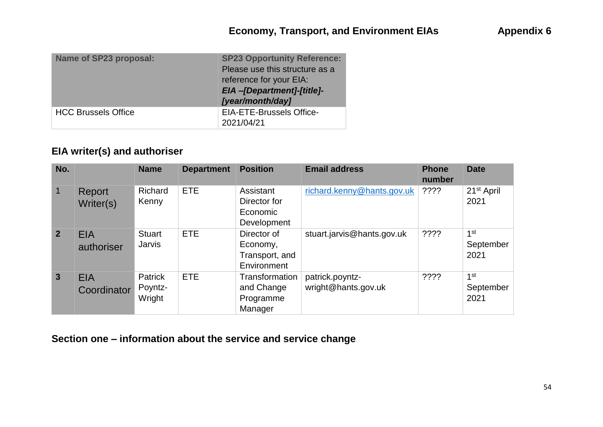| <b>Name of SP23 proposal:</b> | <b>SP23 Opportunity Reference:</b><br>Please use this structure as a<br>reference for your EIA:<br>EIA-[Department]-[title]-<br>[year/month/day] |
|-------------------------------|--------------------------------------------------------------------------------------------------------------------------------------------------|
| <b>HCC Brussels Office</b>    | <b>EIA-ETE-Brussels Office-</b><br>2021/04/21                                                                                                    |

# **EIA writer(s) and authoriser**

| No.            |                           | <b>Name</b>                         | <b>Department</b> | <b>Position</b>                                          | <b>Email address</b>                   | <b>Phone</b><br>number | <b>Date</b>                          |
|----------------|---------------------------|-------------------------------------|-------------------|----------------------------------------------------------|----------------------------------------|------------------------|--------------------------------------|
|                | Report<br>Writer(s)       | <b>Richard</b><br>Kenny             | <b>ETE</b>        | Assistant<br>Director for<br>Economic<br>Development     | richard.kenny@hants.gov.uk             | ????                   | 21 <sup>st</sup> April<br>2021       |
| 2 <sup>1</sup> | <b>EIA</b><br>authoriser  | <b>Stuart</b><br>Jarvis             | <b>ETE</b>        | Director of<br>Economy,<br>Transport, and<br>Environment | stuart.jarvis@hants.gov.uk             | ????                   | 1 <sup>st</sup><br>September<br>2021 |
| 3 <sup>1</sup> | <b>EIA</b><br>Coordinator | <b>Patrick</b><br>Poyntz-<br>Wright | <b>ETE</b>        | Transformation<br>and Change<br>Programme<br>Manager     | patrick.poyntz-<br>wright@hants.gov.uk | ????                   | 1 <sup>st</sup><br>September<br>2021 |

**Section one – information about the service and service change**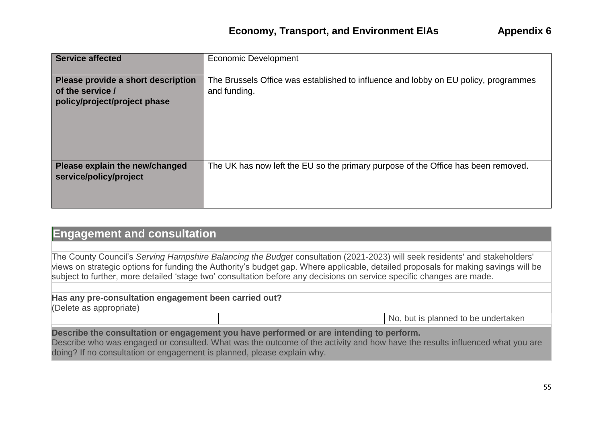| <b>Service affected</b>                                                                | <b>Economic Development</b>                                                                         |
|----------------------------------------------------------------------------------------|-----------------------------------------------------------------------------------------------------|
| Please provide a short description<br>of the service /<br>policy/project/project phase | The Brussels Office was established to influence and lobby on EU policy, programmes<br>and funding. |
| Please explain the new/changed<br>service/policy/project                               | The UK has now left the EU so the primary purpose of the Office has been removed.                   |

# **Engagement and consultation**

The County Council's *Serving Hampshire Balancing the Budget* consultation (2021-2023) will seek residents' and stakeholders' views on strategic options for funding the Authority's budget gap. Where applicable, detailed proposals for making savings will be subject to further, more detailed 'stage two' consultation before any decisions on service specific changes are made.

# **Has any pre-consultation engagement been carried out?**

(Delete as appropriate)

No, but is planned to be undertaken

### **Describe the consultation or engagement you have performed or are intending to perform.**

Describe who was engaged or consulted. What was the outcome of the activity and how have the results influenced what you are doing? If no consultation or engagement is planned, please explain why.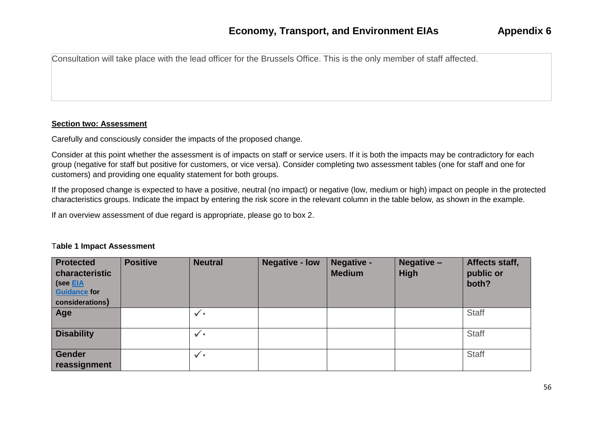Consultation will take place with the lead officer for the Brussels Office. This is the only member of staff affected.

#### **Section two: Assessment**

Carefully and consciously consider the impacts of the proposed change.

Consider at this point whether the assessment is of impacts on staff or service users. If it is both the impacts may be contradictory for each group (negative for staff but positive for customers, or vice versa). Consider completing two assessment tables (one for staff and one for customers) and providing one equality statement for both groups.

If the proposed change is expected to have a positive, neutral (no impact) or negative (low, medium or high) impact on people in the protected characteristics groups. Indicate the impact by entering the risk score in the relevant column in the table below, as shown in the example.

If an overview assessment of due regard is appropriate, please go to box 2.

| <b>Protected</b><br>characteristic<br>(see EIA<br><b>Guidance for</b><br>considerations) | <b>Positive</b> | <b>Neutral</b> | <b>Negative - low</b> | Negative -<br><b>Medium</b> | Negative -<br><b>High</b> | Affects staff,<br>public or<br>both? |
|------------------------------------------------------------------------------------------|-----------------|----------------|-----------------------|-----------------------------|---------------------------|--------------------------------------|
| Age                                                                                      |                 | $\checkmark$   |                       |                             |                           | <b>Staff</b>                         |
| <b>Disability</b>                                                                        |                 | $\checkmark$   |                       |                             |                           | <b>Staff</b>                         |
| <b>Gender</b><br>reassignment                                                            |                 | $\checkmark$   |                       |                             |                           | <b>Staff</b>                         |

#### T**able 1 Impact Assessment**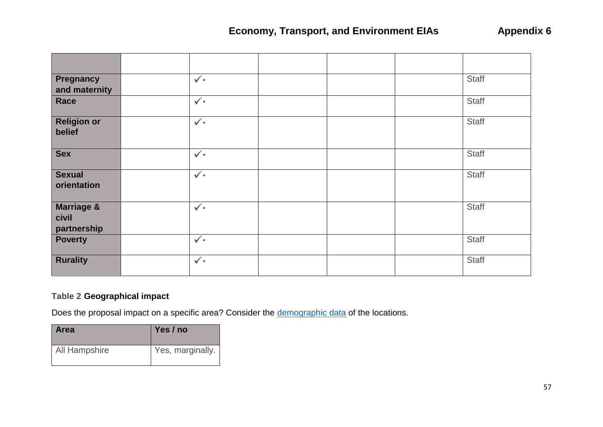| Pregnancy<br>and maternity                    | $\checkmark$ |  | <b>Staff</b> |
|-----------------------------------------------|--------------|--|--------------|
| Race                                          | $\checkmark$ |  | <b>Staff</b> |
| <b>Religion or</b><br>belief                  | $\checkmark$ |  | <b>Staff</b> |
| <b>Sex</b>                                    | $\checkmark$ |  | Staff        |
| <b>Sexual</b><br>orientation                  | $\checkmark$ |  | <b>Staff</b> |
| <b>Marriage &amp;</b><br>civil<br>partnership | $\checkmark$ |  | <b>Staff</b> |
| <b>Poverty</b>                                | $\checkmark$ |  | <b>Staff</b> |
| <b>Rurality</b>                               | $\checkmark$ |  | <b>Staff</b> |

# **Table 2 Geographical impact**

Does the proposal impact on a specific area? Consider the **demographic data** of the locations.

| l Area        | Yes / no         |
|---------------|------------------|
| All Hampshire | Yes, marginally. |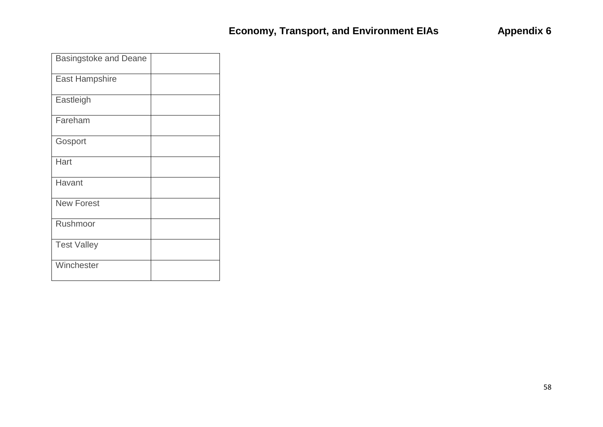| <b>Basingstoke and Deane</b> |  |
|------------------------------|--|
| <b>East Hampshire</b>        |  |
| Eastleigh                    |  |
| Fareham                      |  |
| Gosport                      |  |
| Hart                         |  |
| Havant                       |  |
| New Forest                   |  |
| Rushmoor                     |  |
| <b>Test Valley</b>           |  |
| Winchester                   |  |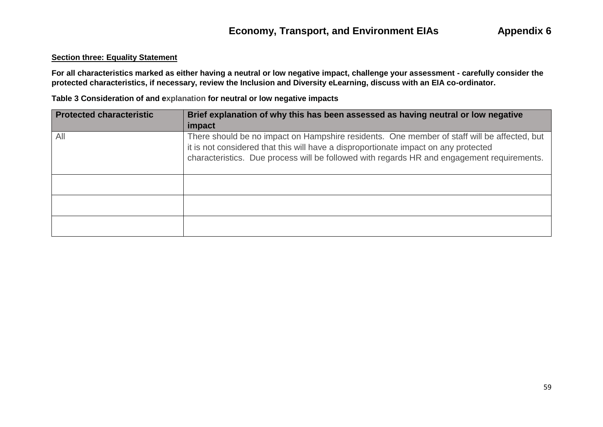#### **Section three: Equality Statement**

**For all characteristics marked as either having a neutral or low negative impact, challenge your assessment - carefully consider the protected characteristics, if necessary, review the Inclusion and Diversity eLearning, discuss with an EIA co-ordinator.** 

**Table 3 Consideration of and explanation for neutral or low negative impacts**

| <b>Protected characteristic</b> | Brief explanation of why this has been assessed as having neutral or low negative<br>impact                                                                                                                                                                                      |
|---------------------------------|----------------------------------------------------------------------------------------------------------------------------------------------------------------------------------------------------------------------------------------------------------------------------------|
| All                             | There should be no impact on Hampshire residents. One member of staff will be affected, but<br>it is not considered that this will have a disproportionate impact on any protected<br>characteristics. Due process will be followed with regards HR and engagement requirements. |
|                                 |                                                                                                                                                                                                                                                                                  |
|                                 |                                                                                                                                                                                                                                                                                  |
|                                 |                                                                                                                                                                                                                                                                                  |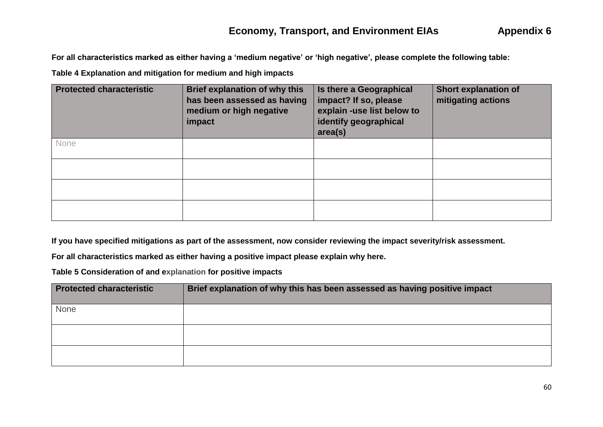**For all characteristics marked as either having a 'medium negative' or 'high negative', please complete the following table:**

**Table 4 Explanation and mitigation for medium and high impacts**

| <b>Protected characteristic</b> | Brief explanation of why this<br>has been assessed as having<br>medium or high negative<br>impact | Is there a Geographical<br>impact? If so, please<br>explain -use list below to<br>identify geographical<br>area(s) | <b>Short explanation of</b><br>mitigating actions |
|---------------------------------|---------------------------------------------------------------------------------------------------|--------------------------------------------------------------------------------------------------------------------|---------------------------------------------------|
| <b>None</b>                     |                                                                                                   |                                                                                                                    |                                                   |
|                                 |                                                                                                   |                                                                                                                    |                                                   |
|                                 |                                                                                                   |                                                                                                                    |                                                   |
|                                 |                                                                                                   |                                                                                                                    |                                                   |

**If you have specified mitigations as part of the assessment, now consider reviewing the impact severity/risk assessment.** 

**For all characteristics marked as either having a positive impact please explain why here.** 

**Table 5 Consideration of and explanation for positive impacts**

| <b>Protected characteristic</b> | Brief explanation of why this has been assessed as having positive impact |  |  |  |
|---------------------------------|---------------------------------------------------------------------------|--|--|--|
| None                            |                                                                           |  |  |  |
|                                 |                                                                           |  |  |  |
|                                 |                                                                           |  |  |  |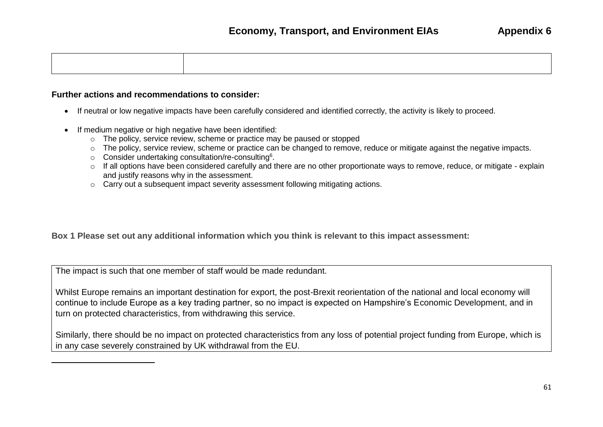#### **Further actions and recommendations to consider:**

- If neutral or low negative impacts have been carefully considered and identified correctly, the activity is likely to proceed.
- If medium negative or high negative have been identified:
	- o The policy, service review, scheme or practice may be paused or stopped
	- o The policy, service review, scheme or practice can be changed to remove, reduce or mitigate against the negative impacts.
	- o Consider undertaking consultation/re-consulting<sup>6</sup>.
	- o If all options have been considered carefully and there are no other proportionate ways to remove, reduce, or mitigate explain and justify reasons why in the assessment.
	- o Carry out a subsequent impact severity assessment following mitigating actions.

**Box 1 Please set out any additional information which you think is relevant to this impact assessment:**

The impact is such that one member of staff would be made redundant.

 $\overline{\phantom{a}}$ 

Whilst Europe remains an important destination for export, the post-Brexit reorientation of the national and local economy will continue to include Europe as a key trading partner, so no impact is expected on Hampshire's Economic Development, and in turn on protected characteristics, from withdrawing this service.

Similarly, there should be no impact on protected characteristics from any loss of potential project funding from Europe, which is in any case severely constrained by UK withdrawal from the EU.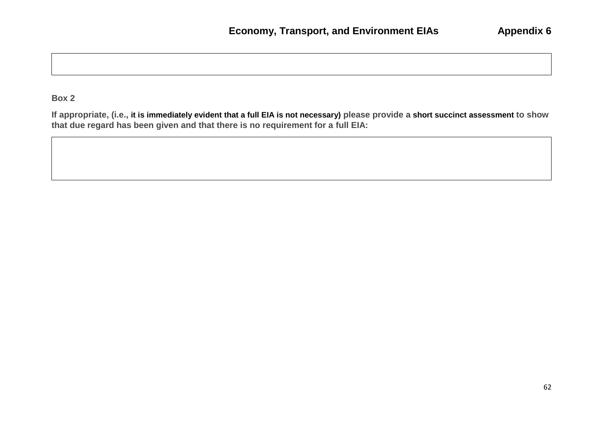## **Box 2**

**If appropriate, (i.e., it is immediately evident that a full EIA is not necessary) please provide a short succinct assessment to show that due regard has been given and that there is no requirement for a full EIA:**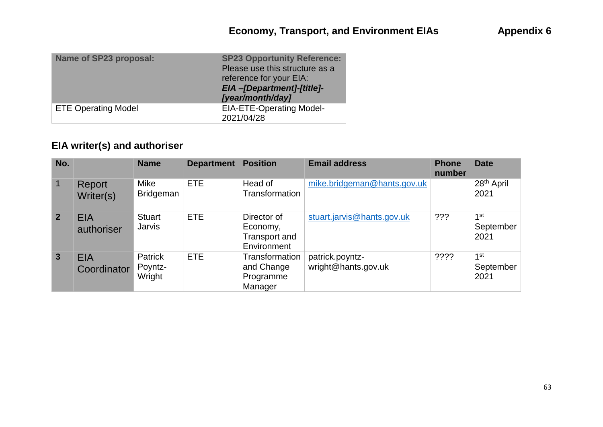| Name of SP23 proposal:     | <b>SP23 Opportunity Reference:</b><br>Please use this structure as a<br>reference for your EIA:<br>EIA-[Department]-[title]-<br>[year/month/day] |
|----------------------------|--------------------------------------------------------------------------------------------------------------------------------------------------|
| <b>ETE Operating Model</b> | <b>EIA-ETE-Operating Model-</b><br>2021/04/28                                                                                                    |

# **EIA writer(s) and authoriser**

| No.            |                           | <b>Name</b>                     | <b>Department Position</b> |                                                                | <b>Email address</b>                   | <b>Phone</b><br>number | <b>Date</b>                          |
|----------------|---------------------------|---------------------------------|----------------------------|----------------------------------------------------------------|----------------------------------------|------------------------|--------------------------------------|
| $\mathbf{1}$   | Report<br>Writer(s)       | <b>Mike</b><br><b>Bridgeman</b> | <b>ETE</b>                 | Head of<br>Transformation                                      | mike.bridgeman@hants.gov.uk            |                        | 28 <sup>th</sup> April<br>2021       |
| $\overline{2}$ | <b>EIA</b><br>authoriser  | <b>Stuart</b><br>Jarvis         | <b>ETE</b>                 | Director of<br>Economy,<br><b>Transport and</b><br>Environment | stuart.jarvis@hants.gov.uk             | ???                    | 1st<br>September<br>2021             |
| 3 <sup>1</sup> | <b>EIA</b><br>Coordinator | Patrick<br>Poyntz-<br>Wright    | <b>ETE</b>                 | Transformation<br>and Change<br>Programme<br>Manager           | patrick.poyntz-<br>wright@hants.gov.uk | ????                   | 1 <sup>st</sup><br>September<br>2021 |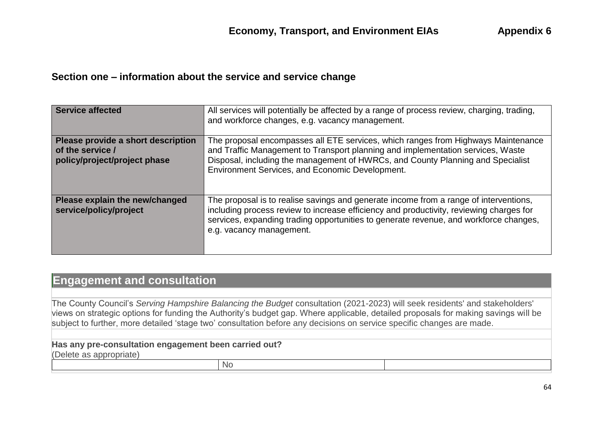## **Section one – information about the service and service change**

| <b>Service affected</b>                                                                | All services will potentially be affected by a range of process review, charging, trading,<br>and workforce changes, e.g. vacancy management.                                                                                                                                                              |
|----------------------------------------------------------------------------------------|------------------------------------------------------------------------------------------------------------------------------------------------------------------------------------------------------------------------------------------------------------------------------------------------------------|
| Please provide a short description<br>of the service /<br>policy/project/project phase | The proposal encompasses all ETE services, which ranges from Highways Maintenance<br>and Traffic Management to Transport planning and implementation services, Waste<br>Disposal, including the management of HWRCs, and County Planning and Specialist<br>Environment Services, and Economic Development. |
| Please explain the new/changed<br>service/policy/project                               | The proposal is to realise savings and generate income from a range of interventions,<br>including process review to increase efficiency and productivity, reviewing charges for<br>services, expanding trading opportunities to generate revenue, and workforce changes,<br>e.g. vacancy management.      |

# **Engagement and consultation**

The County Council's *Serving Hampshire Balancing the Budget* consultation (2021-2023) will seek residents' and stakeholders' views on strategic options for funding the Authority's budget gap. Where applicable, detailed proposals for making savings will be subject to further, more detailed 'stage two' consultation before any decisions on service specific changes are made.

## **Has any pre-consultation engagement been carried out?**

(Delete as appropriate)

No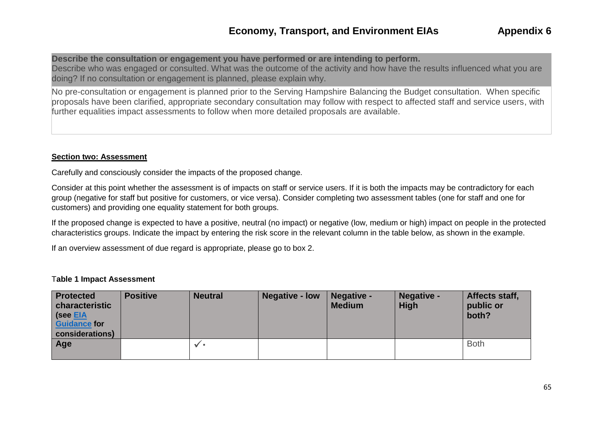**Describe the consultation or engagement you have performed or are intending to perform.** Describe who was engaged or consulted. What was the outcome of the activity and how have the results influenced what you are doing? If no consultation or engagement is planned, please explain why.

No pre-consultation or engagement is planned prior to the Serving Hampshire Balancing the Budget consultation. When specific proposals have been clarified, appropriate secondary consultation may follow with respect to affected staff and service users, with further equalities impact assessments to follow when more detailed proposals are available.

#### **Section two: Assessment**

Carefully and consciously consider the impacts of the proposed change.

Consider at this point whether the assessment is of impacts on staff or service users. If it is both the impacts may be contradictory for each group (negative for staff but positive for customers, or vice versa). Consider completing two assessment tables (one for staff and one for customers) and providing one equality statement for both groups.

If the proposed change is expected to have a positive, neutral (no impact) or negative (low, medium or high) impact on people in the protected characteristics groups. Indicate the impact by entering the risk score in the relevant column in the table below, as shown in the example.

If an overview assessment of due regard is appropriate, please go to box 2.

#### T**able 1 Impact Assessment**

| <b>Protected</b><br>characteristic<br>(see EIA<br><b>Guidance for</b><br>considerations) | <b>Positive</b> | <b>Neutral</b> | <b>Negative - low</b> | Negative -<br><b>Medium</b> | Negative -<br><b>High</b> | Affects staff,<br>public or<br>both? |
|------------------------------------------------------------------------------------------|-----------------|----------------|-----------------------|-----------------------------|---------------------------|--------------------------------------|
| Age                                                                                      |                 | $\sqrt{ }$     |                       |                             |                           | <b>Both</b>                          |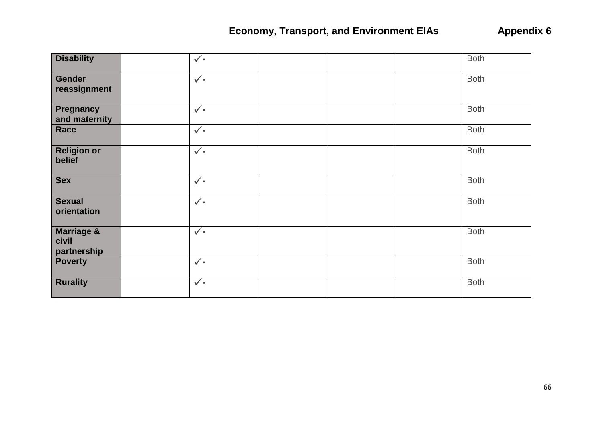# **Economy, Transport, and Environment EIAs Appendix 6**

| <b>Disability</b>                             | $\checkmark$ | <b>Both</b> |
|-----------------------------------------------|--------------|-------------|
| <b>Gender</b><br>reassignment                 | $\checkmark$ | <b>Both</b> |
| Pregnancy<br>and maternity                    | $\checkmark$ | <b>Both</b> |
| Race                                          | $\checkmark$ | <b>Both</b> |
| <b>Religion or</b><br>belief                  | $\checkmark$ | <b>Both</b> |
| <b>Sex</b>                                    | $\checkmark$ | <b>Both</b> |
| <b>Sexual</b><br>orientation                  | $\checkmark$ | <b>Both</b> |
| <b>Marriage &amp;</b><br>civil<br>partnership | $\checkmark$ | <b>Both</b> |
| <b>Poverty</b>                                | $\checkmark$ | <b>Both</b> |
| <b>Rurality</b>                               | $\checkmark$ | <b>Both</b> |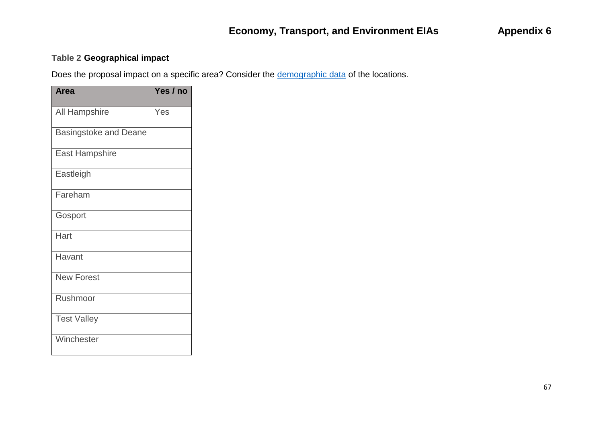## **Table 2 Geographical impact**

Does the proposal impact on a specific area? Consider the **demographic data** of the locations.

| <b>Area</b>                  | Yes / no |
|------------------------------|----------|
| All Hampshire                | Yes      |
| <b>Basingstoke and Deane</b> |          |
| <b>East Hampshire</b>        |          |
| Eastleigh                    |          |
| Fareham                      |          |
| Gosport                      |          |
| Hart                         |          |
| Havant                       |          |
| <b>New Forest</b>            |          |
| Rushmoor                     |          |
| <b>Test Valley</b>           |          |
| Winchester                   |          |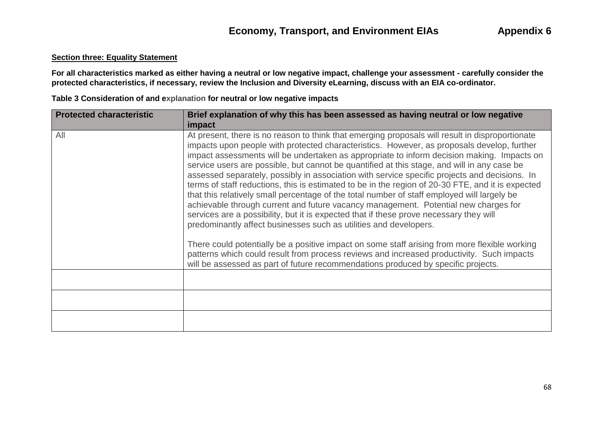#### **Section three: Equality Statement**

**For all characteristics marked as either having a neutral or low negative impact, challenge your assessment - carefully consider the protected characteristics, if necessary, review the Inclusion and Diversity eLearning, discuss with an EIA co-ordinator.** 

|                                               | Table 3 Consideration of and explanation for neutral or low negative impacts                                                                                                                                                         |
|-----------------------------------------------|--------------------------------------------------------------------------------------------------------------------------------------------------------------------------------------------------------------------------------------|
| <b>I Britain Line I all and a start and a</b> | $\blacksquare$ . The contraction of the contract the contract of the contract of the contract of the contract of the contract of the contract of the contract of the contract of the contract of the contract of the contract of the |

| <b>Protected characteristic</b> | Brief explanation of why this has been assessed as having neutral or low negative                                                                                                                                                                                                                                                                                                                                                                                                                                                                                                                                                                                                                                                                                                                                                                                                                                                                     |  |  |
|---------------------------------|-------------------------------------------------------------------------------------------------------------------------------------------------------------------------------------------------------------------------------------------------------------------------------------------------------------------------------------------------------------------------------------------------------------------------------------------------------------------------------------------------------------------------------------------------------------------------------------------------------------------------------------------------------------------------------------------------------------------------------------------------------------------------------------------------------------------------------------------------------------------------------------------------------------------------------------------------------|--|--|
|                                 | impact                                                                                                                                                                                                                                                                                                                                                                                                                                                                                                                                                                                                                                                                                                                                                                                                                                                                                                                                                |  |  |
| All                             | At present, there is no reason to think that emerging proposals will result in disproportionate<br>impacts upon people with protected characteristics. However, as proposals develop, further<br>impact assessments will be undertaken as appropriate to inform decision making. Impacts on<br>service users are possible, but cannot be quantified at this stage, and will in any case be<br>assessed separately, possibly in association with service specific projects and decisions. In<br>terms of staff reductions, this is estimated to be in the region of 20-30 FTE, and it is expected<br>that this relatively small percentage of the total number of staff employed will largely be<br>achievable through current and future vacancy management. Potential new charges for<br>services are a possibility, but it is expected that if these prove necessary they will<br>predominantly affect businesses such as utilities and developers. |  |  |
|                                 | There could potentially be a positive impact on some staff arising from more flexible working<br>patterns which could result from process reviews and increased productivity. Such impacts<br>will be assessed as part of future recommendations produced by specific projects.                                                                                                                                                                                                                                                                                                                                                                                                                                                                                                                                                                                                                                                                       |  |  |
|                                 |                                                                                                                                                                                                                                                                                                                                                                                                                                                                                                                                                                                                                                                                                                                                                                                                                                                                                                                                                       |  |  |
|                                 |                                                                                                                                                                                                                                                                                                                                                                                                                                                                                                                                                                                                                                                                                                                                                                                                                                                                                                                                                       |  |  |
|                                 |                                                                                                                                                                                                                                                                                                                                                                                                                                                                                                                                                                                                                                                                                                                                                                                                                                                                                                                                                       |  |  |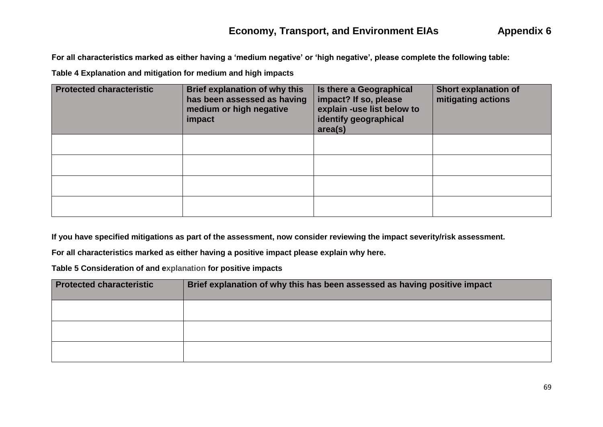**For all characteristics marked as either having a 'medium negative' or 'high negative', please complete the following table:**

**Table 4 Explanation and mitigation for medium and high impacts**

| <b>Protected characteristic</b> | <b>Brief explanation of why this</b><br>has been assessed as having<br>medium or high negative<br>impact | Is there a Geographical<br>impact? If so, please<br>explain -use list below to<br>identify geographical<br>area(s) | <b>Short explanation of</b><br>mitigating actions |
|---------------------------------|----------------------------------------------------------------------------------------------------------|--------------------------------------------------------------------------------------------------------------------|---------------------------------------------------|
|                                 |                                                                                                          |                                                                                                                    |                                                   |
|                                 |                                                                                                          |                                                                                                                    |                                                   |
|                                 |                                                                                                          |                                                                                                                    |                                                   |
|                                 |                                                                                                          |                                                                                                                    |                                                   |

**If you have specified mitigations as part of the assessment, now consider reviewing the impact severity/risk assessment.** 

**For all characteristics marked as either having a positive impact please explain why here.** 

**Table 5 Consideration of and explanation for positive impacts**

| <b>Protected characteristic</b> | Brief explanation of why this has been assessed as having positive impact |
|---------------------------------|---------------------------------------------------------------------------|
|                                 |                                                                           |
|                                 |                                                                           |
|                                 |                                                                           |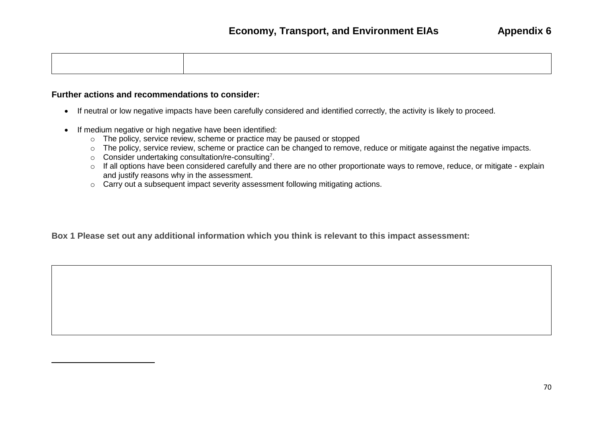#### **Further actions and recommendations to consider:**

 $\overline{\phantom{a}}$ 

- If neutral or low negative impacts have been carefully considered and identified correctly, the activity is likely to proceed.
- If medium negative or high negative have been identified:
	- o The policy, service review, scheme or practice may be paused or stopped
	- o The policy, service review, scheme or practice can be changed to remove, reduce or mitigate against the negative impacts.
	- $\circ$  Consider undertaking consultation/re-consulting<sup>7</sup>.
	- o If all options have been considered carefully and there are no other proportionate ways to remove, reduce, or mitigate explain and justify reasons why in the assessment.
	- o Carry out a subsequent impact severity assessment following mitigating actions.

**Box 1 Please set out any additional information which you think is relevant to this impact assessment:**